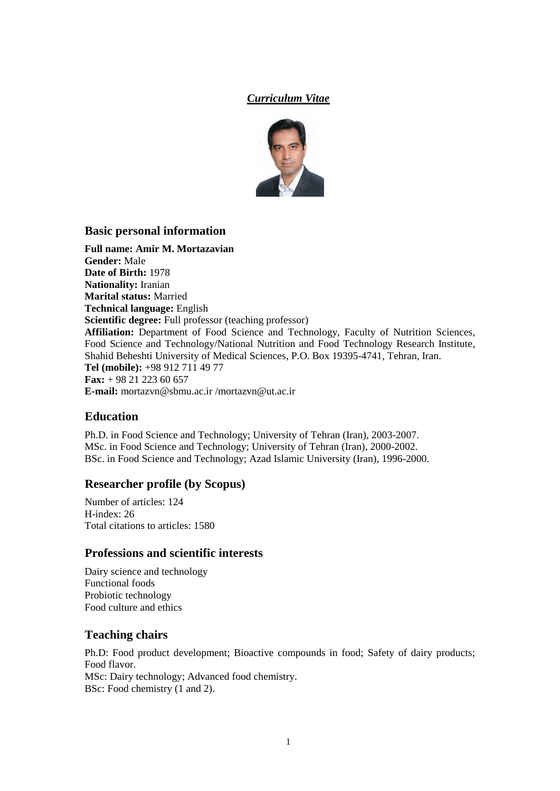# *Curriculum Vitae*



# **Basic personal information**

**Full name: Amir M. Mortazavian Gender:** Male **Date of Birth:** 1978 **Nationality:** Iranian **Marital status:** Married **Technical language:** English **Scientific degree:** Full professor (teaching professor) **Affiliation:** Department of Food Science and Technology, Faculty of Nutrition Sciences, Food Science and Technology/National Nutrition and Food Technology Research Institute, Shahid Beheshti University of Medical Sciences, P.O. Box 19395-4741, Tehran, Iran. **Tel (mobile):** +98 912 711 49 77 **Fax:** + 98 21 223 60 657 **E-mail:** mortazvn@sbmu.ac.ir /mortazvn@ut.ac.ir

# **Education**

Ph.D. in Food Science and Technology; University of Tehran (Iran), 2003-2007. MSc. in Food Science and Technology; University of Tehran (Iran), 2000-2002. BSc. in Food Science and Technology; Azad Islamic University (Iran), 1996-2000.

# **Researcher profile (by Scopus)**

Number of articles: 124 H-index: 26 Total citations to articles: 1580

# **Professions and scientific interests**

Dairy science and technology Functional foods Probiotic technology Food culture and ethics

# **Teaching chairs**

Ph.D: Food product development; Bioactive compounds in food; Safety of dairy products; Food flavor. MSc: Dairy technology; Advanced food chemistry. BSc: Food chemistry (1 and 2).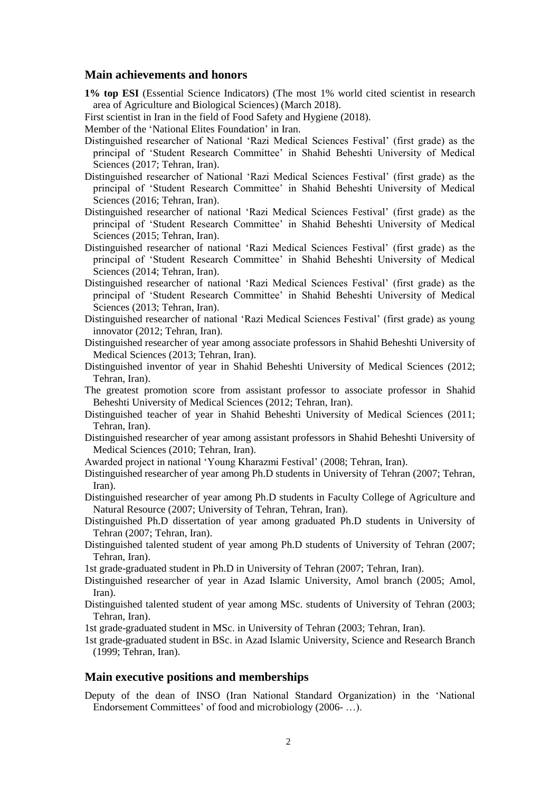## **Main achievements and honors**

**1% top ESI** (Essential Science Indicators) (The most 1% world cited scientist in research area of Agriculture and Biological Sciences) (March 2018).

First scientist in Iran in the field of Food Safety and Hygiene (2018).

Member of the 'National Elites Foundation' in Iran.

- Distinguished researcher of National 'Razi Medical Sciences Festival' (first grade) as the principal of 'Student Research Committee' in Shahid Beheshti University of Medical Sciences (2017; Tehran, Iran).
- Distinguished researcher of National 'Razi Medical Sciences Festival' (first grade) as the principal of 'Student Research Committee' in Shahid Beheshti University of Medical Sciences (2016; Tehran, Iran).
- Distinguished researcher of national 'Razi Medical Sciences Festival' (first grade) as the principal of 'Student Research Committee' in Shahid Beheshti University of Medical Sciences (2015; Tehran, Iran).
- Distinguished researcher of national 'Razi Medical Sciences Festival' (first grade) as the principal of 'Student Research Committee' in Shahid Beheshti University of Medical Sciences (2014; Tehran, Iran).
- Distinguished researcher of national 'Razi Medical Sciences Festival' (first grade) as the principal of 'Student Research Committee' in Shahid Beheshti University of Medical Sciences (2013; Tehran, Iran).
- Distinguished researcher of national 'Razi Medical Sciences Festival' (first grade) as young innovator (2012; Tehran, Iran).
- Distinguished researcher of year among associate professors in Shahid Beheshti University of Medical Sciences (2013; Tehran, Iran).
- Distinguished inventor of year in Shahid Beheshti University of Medical Sciences (2012; Tehran, Iran).
- The greatest promotion score from assistant professor to associate professor in Shahid Beheshti University of Medical Sciences (2012; Tehran, Iran).
- Distinguished teacher of year in Shahid Beheshti University of Medical Sciences (2011; Tehran, Iran).
- Distinguished researcher of year among assistant professors in Shahid Beheshti University of Medical Sciences (2010; Tehran, Iran).

Awarded project in national 'Young Kharazmi Festival' (2008; Tehran, Iran).

- Distinguished researcher of year among Ph.D students in University of Tehran (2007; Tehran, Iran).
- Distinguished researcher of year among Ph.D students in Faculty College of Agriculture and Natural Resource (2007; University of Tehran, Tehran, Iran).
- Distinguished Ph.D dissertation of year among graduated Ph.D students in University of Tehran (2007; Tehran, Iran).
- Distinguished talented student of year among Ph.D students of University of Tehran (2007; Tehran, Iran).
- 1st grade-graduated student in Ph.D in University of Tehran (2007; Tehran, Iran).
- Distinguished researcher of year in Azad Islamic University, Amol branch (2005; Amol, Iran).
- Distinguished talented student of year among MSc. students of University of Tehran (2003; Tehran, Iran).
- 1st grade-graduated student in MSc. in University of Tehran (2003; Tehran, Iran).
- 1st grade-graduated student in BSc. in Azad Islamic University, Science and Research Branch (1999; Tehran, Iran).

#### **Main executive positions and memberships**

Deputy of the dean of INSO (Iran National Standard Organization) in the 'National Endorsement Committees' of food and microbiology (2006- …).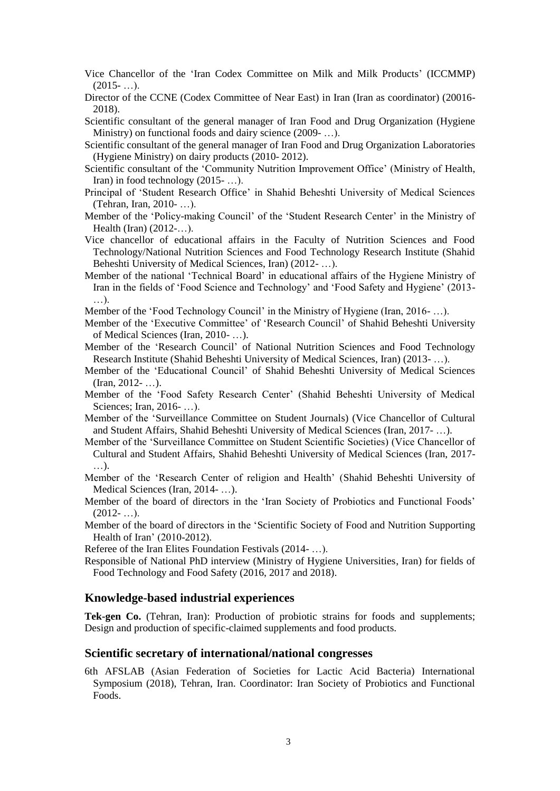- Vice Chancellor of the 'Iran Codex Committee on Milk and Milk Products' (ICCMMP)  $(2015-. ...)$ .
- Director of the CCNE (Codex Committee of Near East) in Iran (Iran as coordinator) (20016- 2018).
- Scientific consultant of the general manager of Iran Food and Drug Organization (Hygiene Ministry) on functional foods and dairy science (2009- …).
- Scientific consultant of the general manager of Iran Food and Drug Organization Laboratories (Hygiene Ministry) on dairy products (2010- 2012).
- Scientific consultant of the 'Community Nutrition Improvement Office' (Ministry of Health, Iran) in food technology  $(2015-$ ...
- Principal of 'Student Research Office' in Shahid Beheshti University of Medical Sciences (Tehran, Iran, 2010- …).
- Member of the 'Policy-making Council' of the 'Student Research Center' in the Ministry of Health (Iran) (2012-…).
- Vice chancellor of educational affairs in the Faculty of Nutrition Sciences and Food Technology/National Nutrition Sciences and Food Technology Research Institute (Shahid Beheshti University of Medical Sciences, Iran) (2012- …).
- Member of the national 'Technical Board' in educational affairs of the Hygiene Ministry of Iran in the fields of 'Food Science and Technology' and 'Food Safety and Hygiene' (2013- …).
- Member of the 'Food Technology Council' in the Ministry of Hygiene (Iran, 2016- …).
- Member of the 'Executive Committee' of 'Research Council' of Shahid Beheshti University of Medical Sciences (Iran, 2010- …).
- Member of the 'Research Council' of National Nutrition Sciences and Food Technology Research Institute (Shahid Beheshti University of Medical Sciences, Iran) (2013- …).
- Member of the 'Educational Council' of Shahid Beheshti University of Medical Sciences (Iran, 2012- …).
- Member of the 'Food Safety Research Center' (Shahid Beheshti University of Medical Sciences; Iran, 2016- …).
- Member of the 'Surveillance Committee on Student Journals) (Vice Chancellor of Cultural and Student Affairs, Shahid Beheshti University of Medical Sciences (Iran, 2017- …).
- Member of the 'Surveillance Committee on Student Scientific Societies) (Vice Chancellor of Cultural and Student Affairs, Shahid Beheshti University of Medical Sciences (Iran, 2017- …).
- Member of the 'Research Center of religion and Health' (Shahid Beheshti University of Medical Sciences (Iran, 2014- …).
- Member of the board of directors in the 'Iran Society of Probiotics and Functional Foods'  $(2012 - ...)$ .
- Member of the board of directors in the 'Scientific Society of Food and Nutrition Supporting Health of Iran' (2010-2012).

Referee of the Iran Elites Foundation Festivals (2014- …).

Responsible of National PhD interview (Ministry of Hygiene Universities, Iran) for fields of Food Technology and Food Safety (2016, 2017 and 2018).

#### **Knowledge-based industrial experiences**

**Tek-gen Co.** (Tehran, Iran): Production of probiotic strains for foods and supplements; Design and production of specific-claimed supplements and food products.

## **Scientific secretary of international/national congresses**

6th AFSLAB (Asian Federation of Societies for Lactic Acid Bacteria) International Symposium (2018), Tehran, Iran. Coordinator: Iran Society of Probiotics and Functional Foods.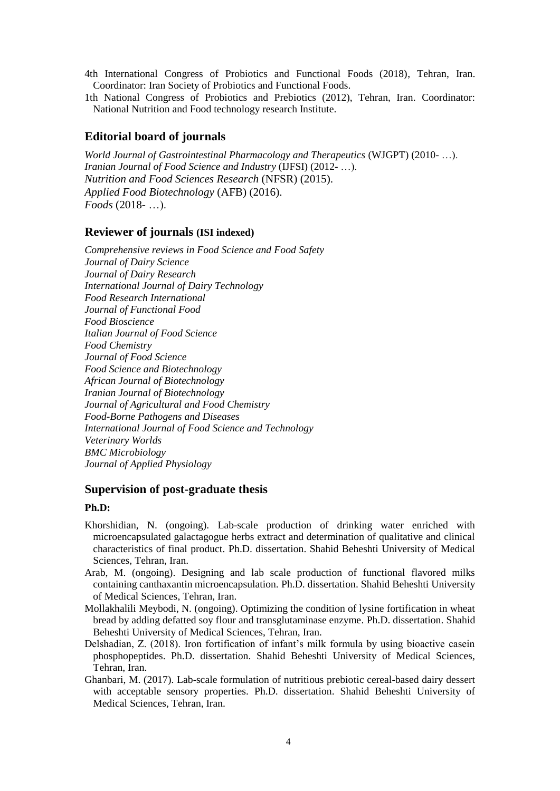- 4th International Congress of Probiotics and Functional Foods (2018), Tehran, Iran. Coordinator: Iran Society of Probiotics and Functional Foods.
- 1th National Congress of Probiotics and Prebiotics (2012), Tehran, Iran. Coordinator: National Nutrition and Food technology research Institute.

# **Editorial board of journals**

*World Journal of Gastrointestinal Pharmacology and Therapeutics* (WJGPT) (2010- …). *Iranian Journal of Food Science and Industry* (IJFSI) (2012- …). *Nutrition and Food Sciences Research* (NFSR) (2015). *Applied Food Biotechnology* (AFB) (2016). *Foods* (2018- …).

# **Reviewer of journals (ISI indexed)**

*Comprehensive reviews in Food Science and Food Safety Journal of Dairy Science Journal of Dairy Research International Journal of Dairy Technology Food Research International Journal of Functional Food Food Bioscience Italian Journal of Food Science Food Chemistry Journal of Food Science Food Science and Biotechnology African Journal of Biotechnology Iranian Journal of Biotechnology Journal of Agricultural and Food Chemistry Food-Borne Pathogens and Diseases International Journal of Food Science and Technology Veterinary Worlds BMC Microbiology Journal of Applied Physiology*

## **Supervision of post-graduate thesis**

## **Ph.D:**

- Khorshidian, N. (ongoing). Lab-scale production of drinking water enriched with microencapsulated galactagogue herbs extract and determination of qualitative and clinical characteristics of final product. Ph.D. dissertation. Shahid Beheshti University of Medical Sciences, Tehran, Iran.
- Arab, M. (ongoing). Designing and lab scale production of functional flavored milks containing canthaxantin microencapsulation. Ph.D. dissertation. Shahid Beheshti University of Medical Sciences, Tehran, Iran.
- Mollakhalili Meybodi, N. (ongoing). Optimizing the condition of lysine fortification in wheat bread by adding defatted soy flour and transglutaminase enzyme. Ph.D. dissertation. Shahid Beheshti University of Medical Sciences, Tehran, Iran.
- Delshadian, Z. (2018). Iron fortification of infant's milk formula by using bioactive casein phosphopeptides. Ph.D. dissertation. Shahid Beheshti University of Medical Sciences, Tehran, Iran.
- Ghanbari, M. (2017). Lab-scale formulation of nutritious prebiotic cereal-based dairy dessert with acceptable sensory properties. Ph.D. dissertation. Shahid Beheshti University of Medical Sciences, Tehran, Iran.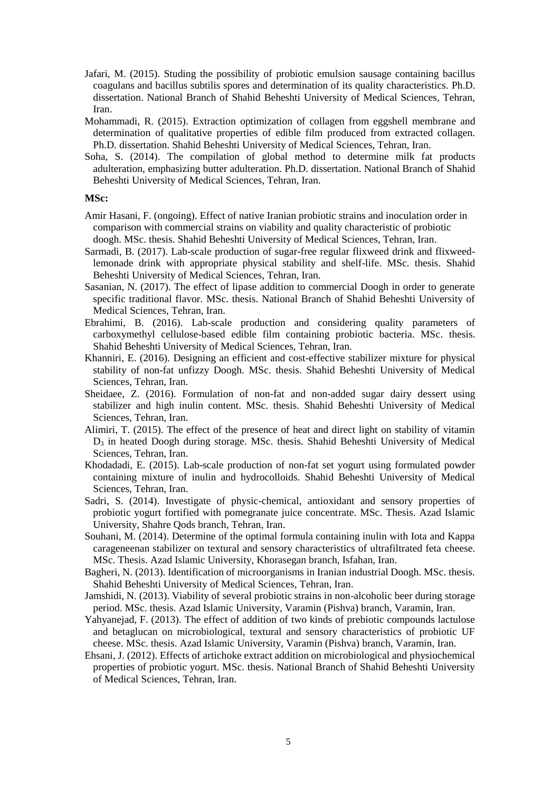- Jafari, M. (2015). Studing the possibility of probiotic emulsion sausage containing bacillus coagulans and bacillus subtilis spores and determination of its quality characteristics. Ph.D. dissertation. National Branch of Shahid Beheshti University of Medical Sciences, Tehran, Iran.
- Mohammadi, R. (2015). Extraction optimization of collagen from eggshell membrane and determination of qualitative properties of edible film produced from extracted collagen. Ph.D. dissertation. Shahid Beheshti University of Medical Sciences, Tehran, Iran.
- Soha, S. (2014). The compilation of global method to determine milk fat products adulteration, emphasizing butter adulteration. Ph.D. dissertation. National Branch of Shahid Beheshti University of Medical Sciences, Tehran, Iran.

#### **MSc:**

- Amir Hasani, F. (ongoing). Effect of native Iranian probiotic strains and inoculation order in comparison with commercial strains on viability and quality characteristic of probiotic doogh. MSc. thesis. Shahid Beheshti University of Medical Sciences, Tehran, Iran.
- Sarmadi, B. (2017). Lab-scale production of sugar-free regular flixweed drink and flixweedlemonade drink with appropriate physical stability and shelf-life. MSc. thesis. Shahid Beheshti University of Medical Sciences, Tehran, Iran.
- Sasanian, N. (2017). The effect of lipase addition to commercial Doogh in order to generate specific traditional flavor. MSc. thesis. National Branch of Shahid Beheshti University of Medical Sciences, Tehran, Iran.
- Ebrahimi, B. (2016). Lab-scale production and considering quality parameters of carboxymethyl cellulose-based edible film containing probiotic bacteria. MSc. thesis. Shahid Beheshti University of Medical Sciences, Tehran, Iran.
- Khanniri, E. (2016). Designing an efficient and cost-effective stabilizer mixture for physical stability of non-fat unfizzy Doogh. MSc. thesis. Shahid Beheshti University of Medical Sciences, Tehran, Iran.
- Sheidaee, Z. (2016). Formulation of non-fat and non-added sugar dairy dessert using stabilizer and high inulin content. MSc. thesis. Shahid Beheshti University of Medical Sciences, Tehran, Iran.
- Alimiri, T. (2015). The effect of the presence of heat and direct light on stability of vitamin D<sup>3</sup> in heated Doogh during storage. MSc. thesis. Shahid Beheshti University of Medical Sciences, Tehran, Iran.
- Khodadadi, E. (2015). Lab-scale production of non-fat set yogurt using formulated powder containing mixture of inulin and hydrocolloids. Shahid Beheshti University of Medical Sciences, Tehran, Iran.
- Sadri, S. (2014). Investigate of physic-chemical, antioxidant and sensory properties of probiotic yogurt fortified with pomegranate juice concentrate. MSc. Thesis. Azad Islamic University, Shahre Qods branch, Tehran, Iran.
- Souhani, M. (2014). Determine of the optimal formula containing inulin with Iota and Kappa carageneenan stabilizer on textural and sensory characteristics of ultrafiltrated feta cheese. MSc. Thesis. Azad Islamic University, Khorasegan branch, Isfahan, Iran.
- Bagheri, N. (2013). Identification of microorganisms in Iranian industrial Doogh. MSc. thesis. Shahid Beheshti University of Medical Sciences, Tehran, Iran.
- Jamshidi, N. (2013). Viability of several probiotic strains in non-alcoholic beer during storage period. MSc. thesis. Azad Islamic University, Varamin (Pishva) branch, Varamin, Iran.
- Yahyanejad, F. (2013). The effect of addition of two kinds of prebiotic compounds lactulose and betaglucan on microbiological, textural and sensory characteristics of probiotic UF cheese. MSc. thesis. Azad Islamic University, Varamin (Pishva) branch, Varamin, Iran.
- Ehsani, J. (2012). Effects of artichoke extract addition on microbiological and physiochemical properties of probiotic yogurt. MSc. thesis. National Branch of Shahid Beheshti University of Medical Sciences, Tehran, Iran.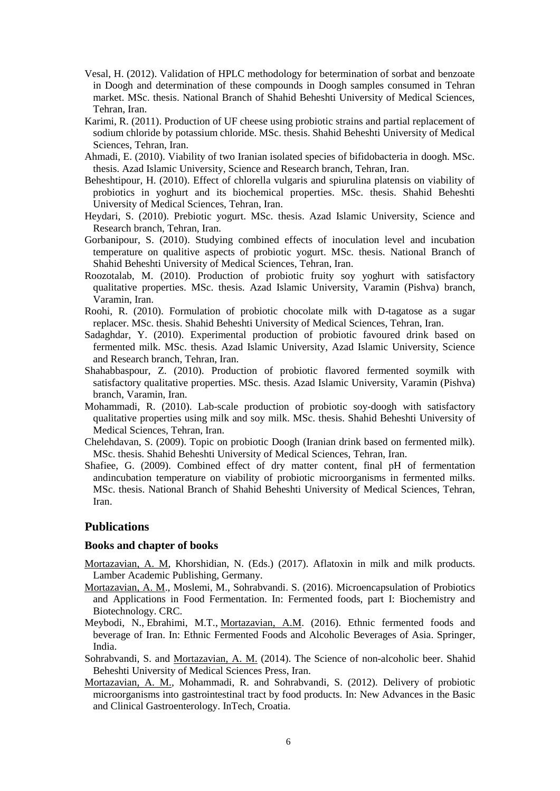- Vesal, H. (2012). Validation of HPLC methodology for betermination of sorbat and benzoate in Doogh and determination of these compounds in Doogh samples consumed in Tehran market. MSc. thesis. National Branch of Shahid Beheshti University of Medical Sciences, Tehran, Iran.
- Karimi, R. (2011). Production of UF cheese using probiotic strains and partial replacement of sodium chloride by potassium chloride. MSc. thesis. Shahid Beheshti University of Medical Sciences, Tehran, Iran.
- Ahmadi, E. (2010). Viability of two Iranian isolated species of bifidobacteria in doogh. MSc. thesis. Azad Islamic University, Science and Research branch, Tehran, Iran.
- Beheshtipour, H. (2010). Effect of chlorella vulgaris and spiurulina platensis on viability of probiotics in yoghurt and its biochemical properties. MSc. thesis. Shahid Beheshti University of Medical Sciences, Tehran, Iran.
- Heydari, S. (2010). Prebiotic yogurt. MSc. thesis. Azad Islamic University, Science and Research branch, Tehran, Iran.
- Gorbanipour, S. (2010). Studying combined effects of inoculation level and incubation temperature on qualitive aspects of probiotic yogurt. MSc. thesis. National Branch of Shahid Beheshti University of Medical Sciences, Tehran, Iran.
- Roozotalab, M. (2010). Production of probiotic fruity soy yoghurt with satisfactory qualitative properties. MSc. thesis. Azad Islamic University, Varamin (Pishva) branch, Varamin, Iran.
- Roohi, R. (2010). Formulation of probiotic chocolate milk with D-tagatose as a sugar replacer. MSc. thesis. Shahid Beheshti University of Medical Sciences, Tehran, Iran.
- Sadaghdar, Y. (2010). Experimental production of probiotic favoured drink based on fermented milk. MSc. thesis. Azad Islamic University, Azad Islamic University, Science and Research branch, Tehran, Iran.
- Shahabbaspour, Z. (2010). Production of probiotic flavored fermented soymilk with satisfactory qualitative properties. MSc. thesis. Azad Islamic University, Varamin (Pishva) branch, Varamin, Iran.
- Mohammadi, R. (2010). Lab-scale production of probiotic soy-doogh with satisfactory qualitative properties using milk and soy milk. MSc. thesis. Shahid Beheshti University of Medical Sciences, Tehran, Iran.
- Chelehdavan, S. (2009). Topic on probiotic Doogh (Iranian drink based on fermented milk). MSc. thesis. Shahid Beheshti University of Medical Sciences, Tehran, Iran.
- Shafiee, G. (2009). Combined effect of dry matter content, final pH of fermentation andincubation temperature on viability of probiotic microorganisms in fermented milks. MSc. thesis. National Branch of Shahid Beheshti University of Medical Sciences, Tehran, Iran.

## **Publications**

#### **Books and chapter of books**

- Mortazavian, A. M, Khorshidian, N. (Eds.) (2017). Aflatoxin in milk and milk products. Lamber Academic Publishing, Germany.
- Mortazavian, A. M., Moslemi, M., Sohrabvandi. S. (2016). Microencapsulation of Probiotics and Applications in Food Fermentation. In: Fermented foods, part I: Biochemistry and Biotechnology. CRC.
- [Meybodi, N.,](https://www.scopus.com/authid/detail.uri?origin=AuthorProfile&authorId=57044668500&zone=) [Ebrahimi, M.T.,](https://www.scopus.com/authid/detail.uri?origin=AuthorProfile&authorId=36989440000&zone=) [Mortazavian, A.M.](https://www.scopus.com/authid/detail.uri?origin=AuthorProfile&authorId=12792054500&zone=) (2016). [Ethnic fermented foods and](https://www.scopus.com/record/display.uri?eid=2-s2.0-85006380108&origin=resultslist&sort=plf-f&src=s&sid=7009ff4aa8a26d695972dd1ffadecfaa&sot=autdocs&sdt=autdocs&sl=18&s=AU-ID%2812792054500%29&relpos=38&citeCnt=1&searchTerm=)  [beverage of Iran.](https://www.scopus.com/record/display.uri?eid=2-s2.0-85006380108&origin=resultslist&sort=plf-f&src=s&sid=7009ff4aa8a26d695972dd1ffadecfaa&sot=autdocs&sdt=autdocs&sl=18&s=AU-ID%2812792054500%29&relpos=38&citeCnt=1&searchTerm=) In: [Ethnic Fermented Foods and Alcoholic Beverages of Asia.](https://www.scopus.com/display/book.uri?sourceId=21100788956&requestedPage=book) Springer, India.
- Sohrabvandi, S. and Mortazavian, A. M. (2014). The Science of non-alcoholic beer. Shahid Beheshti University of Medical Sciences Press, Iran.
- Mortazavian, A. M., Mohammadi, R. and Sohrabvandi, S. (2012). Delivery of probiotic microorganisms into gastrointestinal tract by food products. In: New Advances in the Basic and Clinical Gastroenterology. InTech, Croatia.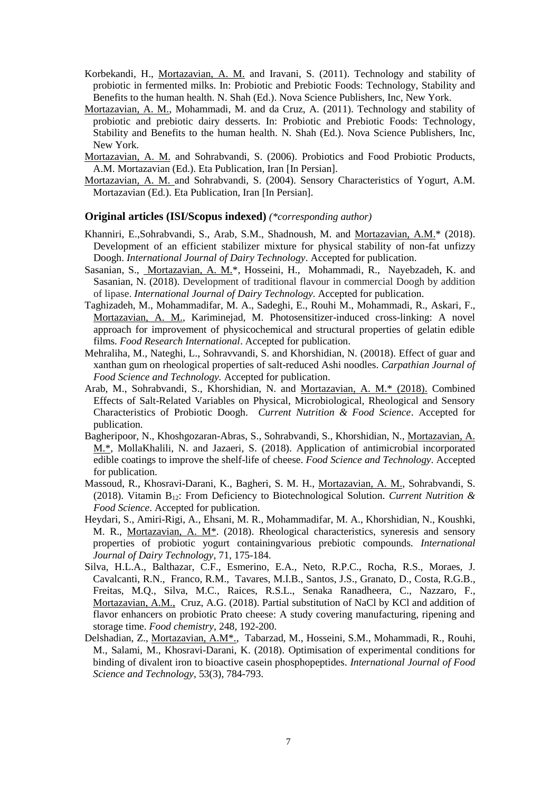- Korbekandi, H., Mortazavian, A. M. and Iravani, S. (2011). Technology and stability of probiotic in fermented milks. In: Probiotic and Prebiotic Foods: Technology, Stability and Benefits to the human health. N. Shah (Ed.). Nova Science Publishers, Inc, New York.
- Mortazavian, A. M., Mohammadi, M. and da Cruz, A. (2011). Technology and stability of probiotic and prebiotic dairy desserts. In: Probiotic and Prebiotic Foods: Technology, Stability and Benefits to the human health. N. Shah (Ed.). Nova Science Publishers, Inc, New York.
- Mortazavian, A. M. and Sohrabvandi, S. (2006). Probiotics and Food Probiotic Products, A.M. Mortazavian (Ed.). Eta Publication, Iran [In Persian].
- Mortazavian, A. M. and Sohrabvandi, S. (2004). Sensory Characteristics of Yogurt, A.M. Mortazavian (Ed.). Eta Publication, Iran [In Persian].

#### **Original articles (ISI/Scopus indexed)** *(\*corresponding author)*

- [Khanniri, E.](https://www.scopus.com/authid/detail.uri?authorId=57188727841&eid=2-s2.0-85008498510)[,Sohrabvandi, S.,](https://www.scopus.com/authid/detail.uri?authorId=12793070400&eid=2-s2.0-85008498510) [Arab, S.M.,](https://www.scopus.com/authid/detail.uri?authorId=57192869592&eid=2-s2.0-85008498510) [Shadnoush, M.](https://www.scopus.com/authid/detail.uri?authorId=55355724200&eid=2-s2.0-85008498510) and [Mortazavian, A.M.](https://www.scopus.com/authid/detail.uri?authorId=12792054500&eid=2-s2.0-85008498510)\* (2018). Development of an efficient stabilizer mixture for physical stability of non-fat unfizzy Doogh. *International Journal of Dairy Technology*. Accepted for publication.
- [Sasanian,](https://onlinelibrary.wiley.com/action/doSearch?ContribAuthorStored=Sasanian%2C+Nazanin) S., [Mortazavian,](https://onlinelibrary.wiley.com/action/doSearch?ContribAuthorStored=Mortazavian%2C+Amir+Mohammad) A. M.\*, [Hosseini,](https://onlinelibrary.wiley.com/action/doSearch?ContribAuthorStored=Hosseini%2C+Hedayat) H., [Mohammadi,](https://onlinelibrary.wiley.com/action/doSearch?ContribAuthorStored=Mohammadi%2C+Reza) R., [Nayebzadeh,](https://onlinelibrary.wiley.com/action/doSearch?ContribAuthorStored=Nayebzadeh%2C+Kooshan) K. and [Sasanian,](https://onlinelibrary.wiley.com/action/doSearch?ContribAuthorStored=Sasanian%2C+Negar) N. (2018). Development of traditional flavour in commercial Doogh by addition of lipase. *International Journal of Dairy Technology.* Accepted for publication.
- Taghizadeh, M., Mohammadifar, M. A., Sadeghi, E., Rouhi M., Mohammadi, R., Askari, F., Mortazavian, A. M., Kariminejad, M. Photosensitizer-induced cross-linking: A novel approach for improvement of physicochemical and structural properties of gelatin edible films. *Food Research International*. Accepted for publication.
- Mehraliha, M., Nateghi, L., Sohravvandi, S. and Khorshidian, N. (20018). Effect of guar and xanthan gum on rheological properties of salt-reduced Ashi noodles. *Carpathian Journal of Food Science and Technology.* Accepted for publication.
- Arab, M., Sohrabvandi, S., Khorshidian, N. and Mortazavian, A. M.\* (2018). [Combined](https://www.eurekaselect.com/node/159311/article/combined-effects-of-salt-related-variables-on-physical-microbiological-rheological-and-sensory-characteristics-of-probiotic-doogh-iranian-fermented-milk-beverage)  [Effects of Salt-Related Variables on Physical, Microbiological, Rheological and Sensory](https://www.eurekaselect.com/node/159311/article/combined-effects-of-salt-related-variables-on-physical-microbiological-rheological-and-sensory-characteristics-of-probiotic-doogh-iranian-fermented-milk-beverage)  [Characteristics of Probiotic Doogh.](https://www.eurekaselect.com/node/159311/article/combined-effects-of-salt-related-variables-on-physical-microbiological-rheological-and-sensory-characteristics-of-probiotic-doogh-iranian-fermented-milk-beverage) *Current Nutrition & Food Science*. Accepted for publication.
- Bagheripoor, N., Khoshgozaran-Abras, S., Sohrabvandi, S., Khorshidian, N., Mortazavian, A. M.\*, MollaKhalili, N. and Jazaeri, S. (2018). Application of antimicrobial incorporated edible coatings to improve the shelf-life of cheese. *Food Science and Technology*. Accepted for publication.
- Massoud, R., Khosravi-Darani, K., Bagheri, S. M. H., Mortazavian, A. M., Sohrabvandi, S. (2018). Vitamin B12: From Deficiency to Biotechnological Solution. *Current Nutrition & Food Science*. Accepted for publication.
- Heydari, S., Amiri-Rigi, A., Ehsani, M. R., Mohammadifar, M. A., Khorshidian, N., Koushki, M. R., Mortazavian, A. M\*. (2018). Rheological characteristics, syneresis and sensory properties of probiotic yogurt containingvarious prebiotic compounds. *International Journal of Dairy Technology*, 71, 175-184.
- [Silva, H.L.A.,](https://www.scopus.com/authid/detail.uri?authorId=56544045900&eid=2-s2.0-85038861680) [Balthazar, C.F.,](https://www.scopus.com/authid/detail.uri?authorId=56041720100&eid=2-s2.0-85038861680) [Esmerino, E.A.,](https://www.scopus.com/authid/detail.uri?authorId=55654660800&eid=2-s2.0-85038861680) [Neto, R.P.C.,](https://www.scopus.com/authid/detail.uri?authorId=55672075500&eid=2-s2.0-85038861680) [Rocha, R.S.,](https://www.scopus.com/authid/detail.uri?authorId=57198883512&eid=2-s2.0-85038861680) [Moraes, J.](https://www.scopus.com/authid/detail.uri?authorId=57183799500&eid=2-s2.0-85038861680)  [Cavalcanti, R.N.,](https://www.scopus.com/authid/detail.uri?authorId=36639370700&eid=2-s2.0-85038861680) [Franco, R.M.,](https://www.scopus.com/authid/detail.uri?authorId=23984928100&eid=2-s2.0-85038861680) [Tavares, M.I.B.,](https://www.scopus.com/authid/detail.uri?authorId=56473337900&eid=2-s2.0-85038861680) [Santos, J.S.,](https://www.scopus.com/authid/detail.uri?authorId=7402389373&eid=2-s2.0-85038861680) [Granato, D.,](https://www.scopus.com/authid/detail.uri?authorId=8726448500&eid=2-s2.0-85038861680) [Costa, R.G.B.,](https://www.scopus.com/authid/detail.uri?authorId=56903597400&eid=2-s2.0-85038861680) [Freitas, M.Q.,](https://www.scopus.com/authid/detail.uri?authorId=14057823200&eid=2-s2.0-85038861680) [Silva, M.C.,](https://www.scopus.com/authid/detail.uri?authorId=54880635500&eid=2-s2.0-85038861680) [Raices, R.S.L.,](https://www.scopus.com/authid/detail.uri?authorId=55608137600&eid=2-s2.0-85038861680) [Senaka Ranadheera, C.,](https://www.scopus.com/authid/detail.uri?authorId=55351267400&eid=2-s2.0-85038861680) [Nazzaro, F.,](https://www.scopus.com/authid/detail.uri?authorId=6602793059&eid=2-s2.0-85038861680) [Mortazavian, A.M.,](https://www.scopus.com/authid/detail.uri?authorId=12792054500&eid=2-s2.0-85038861680) [Cruz, A.G.](https://www.scopus.com/authid/detail.uri?authorId=24366248400&eid=2-s2.0-85038861680) (2018). Partial substitution of NaCl by KCl and addition of flavor enhancers on probiotic Prato cheese: A study covering manufacturing, ripening and storage time. *Food chemistry*, 248, 192-200.
- [Delshadian, Z.,](https://www.scopus.com/authid/detail.uri?authorId=56663184400&eid=2-s2.0-85042107148) [Mortazavian, A.M\\*.,](https://www.scopus.com/authid/detail.uri?authorId=12792054500&eid=2-s2.0-85042107148) [Tabarzad, M.,](https://www.scopus.com/authid/detail.uri?authorId=6504310407&eid=2-s2.0-85042107148) [Hosseini, S.M.,](https://www.scopus.com/authid/detail.uri?authorId=55487447000&eid=2-s2.0-85042107148) [Mohammadi, R.,](https://www.scopus.com/authid/detail.uri?authorId=36716645500&eid=2-s2.0-85042107148) [Rouhi,](https://www.scopus.com/authid/detail.uri?authorId=56662884200&eid=2-s2.0-85042107148)  [M.,](https://www.scopus.com/authid/detail.uri?authorId=56662884200&eid=2-s2.0-85042107148) [Salami, M.,](https://www.scopus.com/authid/detail.uri?authorId=57196896450&eid=2-s2.0-85042107148) [Khosravi-Darani, K.](https://www.scopus.com/authid/detail.uri?authorId=57201325226&eid=2-s2.0-85042107148) (2018). Optimisation of experimental conditions for binding of divalent iron to bioactive casein phosphopeptides. *[International](https://www.scopus.com/sourceid/20115?origin=recordpage) Journal of Food Science and [Technology](https://www.scopus.com/sourceid/20115?origin=recordpage)*, 53(3), 784-793.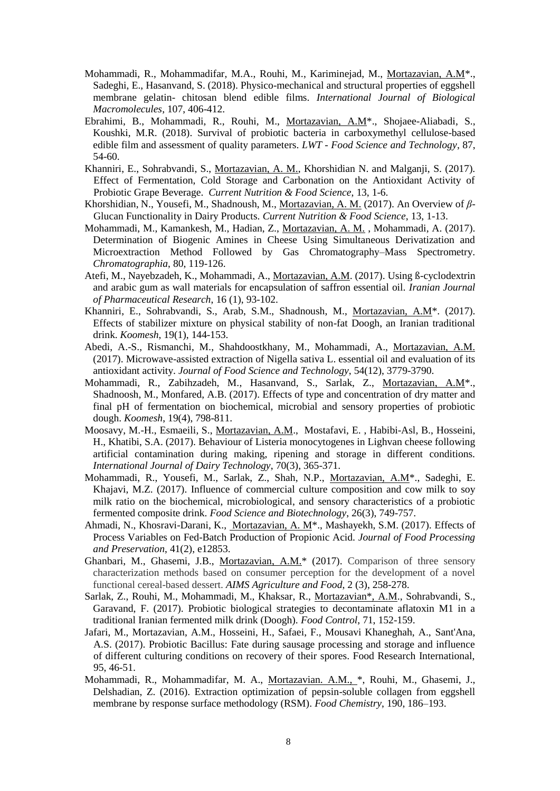- [Mohammadi, R.,](https://www.scopus.com/authid/detail.uri?authorId=36716645500&eid=2-s2.0-85029506157) [Mohammadifar, M.A.,](https://www.scopus.com/authid/detail.uri?authorId=12763131400&eid=2-s2.0-85029506157) [Rouhi, M.,](https://www.scopus.com/authid/detail.uri?authorId=56662884200&eid=2-s2.0-85029506157) [Kariminejad, M.,](https://www.scopus.com/authid/detail.uri?authorId=57195675108&eid=2-s2.0-85029506157) [Mortazavian, A.M\\*.,](https://www.scopus.com/authid/detail.uri?authorId=12792054500&eid=2-s2.0-85029506157) [Sadeghi, E.,](https://www.scopus.com/authid/detail.uri?authorId=37010381500&eid=2-s2.0-85029506157) [Hasanvand, S.](https://www.scopus.com/authid/detail.uri?authorId=57195681319&eid=2-s2.0-85029506157) (2018). Physico-mechanical and structural properties of eggshell membrane gelatin- chitosan blend edible films. *[International Journal of Biological](https://www.scopus.com/sourceid/17544?origin=recordpage)  [Macromolecules](https://www.scopus.com/sourceid/17544?origin=recordpage)*, 107, 406-412.
- [Ebrahimi, B.,](https://www.scopus.com/authid/detail.uri?authorId=57195551620&eid=2-s2.0-85028719091) [Mohammadi, R.,](https://www.scopus.com/authid/detail.uri?authorId=36716645500&eid=2-s2.0-85028719091) [Rouhi, M.,](https://www.scopus.com/authid/detail.uri?authorId=56662884200&eid=2-s2.0-85028719091) [Mortazavian, A.M\\*.,](https://www.scopus.com/authid/detail.uri?authorId=12792054500&eid=2-s2.0-85028719091) [Shojaee-Aliabadi, S.,](https://www.scopus.com/authid/detail.uri?authorId=55486820200&eid=2-s2.0-85028719091) [Koushki, M.R.](https://www.scopus.com/authid/detail.uri?authorId=57195545326&eid=2-s2.0-85028719091) (2018). Survival of probiotic bacteria in carboxymethyl cellulose-based edible film and assessment of quality parameters. *LWT - [Food Science and Technology](https://www.scopus.com/sourceid/20744?origin=recordpage)*, 87, 54-60.
- Khanniri, E., Sohrabvandi, S., Mortazavian, A. M., Khorshidian N. and Malganji, S. (2017). Effect of Fermentation, Cold Storage and Carbonation on the Antioxidant Activity of Probiotic Grape Beverage. *Current Nutrition & Food Science*, 13, 1-6.
- Khorshidian, N., Yousefi, M., Shadnoush, M., Mortazavian, A. M. (2017). An Overview of *β*-Glucan Functionality in Dairy Products. *Current Nutrition & Food Science*, 13, 1-13.
- [Mohammadi, M.,](https://www.scopus.com/authid/detail.uri?authorId=57192211361&eid=2-s2.0-85000996003) [Kamankesh, M.,](https://www.scopus.com/authid/detail.uri?authorId=55614576100&eid=2-s2.0-85000996003) [Hadian, Z.,](https://www.scopus.com/authid/detail.uri?authorId=25421608700&eid=2-s2.0-85000996003) [Mortazavian, A. M.](https://www.scopus.com/authid/detail.uri?authorId=12792054500&eid=2-s2.0-85000996003) , [Mohammadi, A.](https://www.scopus.com/authid/detail.uri?authorId=7005695658&eid=2-s2.0-85000996003) (2017). Determination of Biogenic Amines in Cheese Using Simultaneous Derivatization and Microextraction Method Followed by Gas Chromatography–Mass Spectrometry. *Chromatographia*, 80, 119-126.
- [Atefi, M.,](https://www.scopus.com/authid/detail.uri?authorId=56490815500&eid=2-s2.0-85015278266) [Nayebzadeh, K.,](https://www.scopus.com/authid/detail.uri?authorId=15045460500&eid=2-s2.0-85015278266) [Mohammadi, A.,](https://www.scopus.com/authid/detail.uri?authorId=7005695658&eid=2-s2.0-85015278266) [Mortazavian, A.M.](https://www.scopus.com/authid/detail.uri?authorId=12792054500&eid=2-s2.0-85015278266) (2017). Using ß-cyclodextrin and arabic gum as wall materials for encapsulation of saffron essential oil. *[Iranian Journal](https://www.scopus.com/sourceid/17700156313?origin=recordpage)  [of Pharmaceutical Research](https://www.scopus.com/sourceid/17700156313?origin=recordpage)*, 16 (1), 93-102.
- [Khanniri, E.,](https://www.scopus.com/authid/detail.uri?authorId=57188727841&eid=2-s2.0-85008498510) [Sohrabvandi, S.,](https://www.scopus.com/authid/detail.uri?authorId=12793070400&eid=2-s2.0-85008498510) [Arab, S.M.,](https://www.scopus.com/authid/detail.uri?authorId=57192869592&eid=2-s2.0-85008498510) [Shadnoush, M.,](https://www.scopus.com/authid/detail.uri?authorId=55355724200&eid=2-s2.0-85008498510) [Mortazavian, A.M\\*.](https://www.scopus.com/authid/detail.uri?authorId=12792054500&eid=2-s2.0-85008498510) (2017). Effects of stabilizer mixture on physical stability of non-fat Doogh, an Iranian traditional drink. *Koomesh*, 19(1), 144-153.
- [Abedi, A.-S.,](https://www.scopus.com/authid/detail.uri?authorId=44561032300&eid=2-s2.0-85030319111) [Rismanchi, M.,](https://www.scopus.com/authid/detail.uri?authorId=56806851400&eid=2-s2.0-85030319111) [Shahdoostkhany, M.,](https://www.scopus.com/authid/detail.uri?authorId=57190406944&eid=2-s2.0-85030319111) [Mohammadi, A.,](https://www.scopus.com/authid/detail.uri?authorId=7005695658&eid=2-s2.0-85030319111) [Mortazavian, A.M.](https://www.scopus.com/authid/detail.uri?authorId=12792054500&eid=2-s2.0-85030319111) (2017). Microwave-assisted extraction of Nigella sativa L. essential oil and evaluation of its antioxidant activity. *[Journal of Food Science and Technology](https://www.scopus.com/sourceid/20617?origin=recordpage)*, 54(12), 3779-3790.
- [Mohammadi, R.,](https://www.scopus.com/authid/detail.uri?authorId=36716645500&eid=2-s2.0-85030622823) [Zabihzadeh, M.,](https://www.scopus.com/authid/detail.uri?authorId=57195977640&eid=2-s2.0-85030622823) [Hasanvand, S.,](https://www.scopus.com/authid/detail.uri?authorId=57195681319&eid=2-s2.0-85030622823) [Sarlak, Z.,](https://www.scopus.com/authid/detail.uri?authorId=56536895000&eid=2-s2.0-85030622823) [Mortazavian, A.M\\*.,](https://www.scopus.com/authid/detail.uri?authorId=12792054500&eid=2-s2.0-85030622823) [Shadnoosh, M.,](https://www.scopus.com/authid/detail.uri?authorId=57195976247&eid=2-s2.0-85030622823) [Monfared, A.B.](https://www.scopus.com/authid/detail.uri?authorId=55751923700&eid=2-s2.0-85030622823) (2017). Effects of type and concentration of dry matter and final pH of fermentation on biochemical, microbial and sensory properties of probiotic dough. *Koomesh*, 19(4), 798-811.
- [Moosavy, M.-H.,](https://www.scopus.com/authid/detail.uri?authorId=23094671600&eid=2-s2.0-85002918613) [Esmaeili, S.,](https://www.scopus.com/authid/detail.uri?authorId=55359074600&eid=2-s2.0-85002918613) [Mortazavian, A.M.,](https://www.scopus.com/authid/detail.uri?authorId=12792054500&eid=2-s2.0-85002918613) [Mostafavi, E.](https://www.scopus.com/authid/detail.uri?authorId=22135676300&eid=2-s2.0-85002918613) , [Habibi-Asl, B.,](https://www.scopus.com/authid/detail.uri?authorId=28367604100&eid=2-s2.0-85002918613) [Hosseini,](https://www.scopus.com/authid/detail.uri?authorId=55445059500&eid=2-s2.0-85002918613)  [H.,](https://www.scopus.com/authid/detail.uri?authorId=55445059500&eid=2-s2.0-85002918613) [Khatibi, S.A.](https://www.scopus.com/authid/detail.uri?authorId=35748739700&eid=2-s2.0-85002918613) (2017). Behaviour of Listeria monocytogenes in Lighvan cheese following artificial contamination during making, ripening and storage in different conditions. *[International Journal of Dairy Technology](https://www.scopus.com/sourceid/98012?origin=recordpage)*, 70(3), 365-371.
- [Mohammadi, R.,](https://www.scopus.com/authid/detail.uri?authorId=36716645500&eid=2-s2.0-85021863570) [Yousefi, M.,](https://www.scopus.com/authid/detail.uri?authorId=57194763406&eid=2-s2.0-85021863570) [Sarlak, Z.,](https://www.scopus.com/authid/detail.uri?authorId=56536895000&eid=2-s2.0-85021863570) [Shah, N.P.,](https://www.scopus.com/authid/detail.uri?authorId=7401823907&eid=2-s2.0-85021863570) [Mortazavian, A.M\\*.,](https://www.scopus.com/authid/detail.uri?authorId=12792054500&eid=2-s2.0-85021863570) [Sadeghi, E.](https://www.scopus.com/authid/detail.uri?authorId=37010381500&eid=2-s2.0-85021863570) [Khajavi, M.Z.](https://www.scopus.com/authid/detail.uri?authorId=57194763497&eid=2-s2.0-85021863570) (2017). Influence of commercial culture composition and cow milk to soy milk ratio on the biochemical, microbiological, and sensory characteristics of a probiotic fermented composite drink. *[Food Science and Biotechnology](https://www.scopus.com/sourceid/12100154903?origin=recordpage)*, 26(3), 749-757.
- [Ahmadi, N.,](https://www.scopus.com/authid/detail.uri?authorId=56681886700&eid=2-s2.0-84994067310) [Khosravi-Darani, K.,](https://www.scopus.com/authid/detail.uri?authorId=23969408200&eid=2-s2.0-84994067310) [Mortazavian,](https://www.scopus.com/authid/detail.uri?authorId=12792054500&eid=2-s2.0-84994067310) A. M\*., [Mashayekh, S.M.](https://www.scopus.com/authid/detail.uri?authorId=24554387800&eid=2-s2.0-84994067310) (2017). Effects of Process Variables on Fed-Batch Production of Propionic Acid. *[Journal of Food Processing](https://www.scopus.com/sourceid/20590?origin=recordpage)  [and Preservation](https://www.scopus.com/sourceid/20590?origin=recordpage)*, 41(2), e12853.
- [Ghanbari, M.,](https://www.scopus.com/authid/detail.uri?authorId=57199399867&eid=2-s2.0-85038032201) [Ghasemi, J.B.,](https://www.scopus.com/authid/detail.uri?authorId=7003855274&eid=2-s2.0-85038032201) [Mortazavian, A.M.\\*](https://www.scopus.com/authid/detail.uri?authorId=12792054500&eid=2-s2.0-85038032201) (2017). Comparison of three sensory characterization methods based on consumer perception for the development of a novel functional cereal-based dessert. *AIMS Agriculture and Food*, 2 (3), 258-278.
- Sarlak, Z., Rouhi, M., Mohammadi, M., Khaksar, R., Mortazavian\*, A.M., Sohrabvandi, S., Garavand, F. (2017). Probiotic biological strategies to decontaminate aflatoxin M1 in a traditional Iranian fermented milk drink (Doogh). *Food Control*, 71, 152-159.
- Jafari, M., Mortazavian, A.M., Hosseini, H., Safaei, F., Mousavi Khaneghah, A., [Sant'Ana,](https://www.scopus.com/authid/detail.uri?origin=resultslist&authorId=57192073087&zone=)  [A.S.](https://www.scopus.com/authid/detail.uri?origin=resultslist&authorId=57192073087&zone=) (2017). Probiotic Bacillus: Fate during sausage processing and storage and influence of different culturing conditions on recovery of their spores. Food Research International, 95, 46-51.
- Mohammadi, R., Mohammadifar, M. A., Mortazavian. A.M., \*, Rouhi, M., Ghasemi, J., Delshadian, Z. (2016). Extraction optimization of pepsin-soluble collagen from eggshell membrane by response surface methodology (RSM). *Food Chemistry*, 190, 186–193.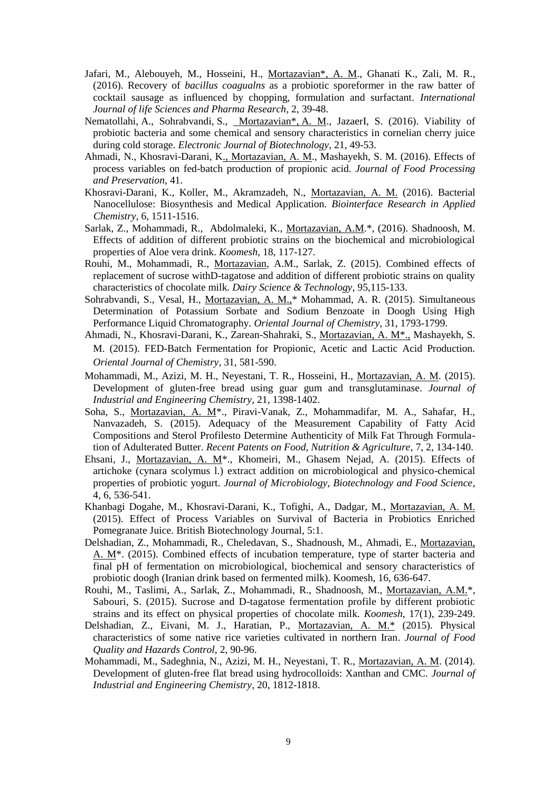- Jafari, M., Alebouyeh, M., Hosseini, H., Mortazavian\*, A. M., Ghanati K., Zali, M. R., (2016). Recovery of *bacillus coagualns* as a probiotic sporeformer in the raw batter of cocktail sausage as influenced by chopping, formulation and surfactant. *International Journal of life Sciences and Pharma Research*, 2, 39-48.
- [Nematollahi,](http://www.sciencedirect.com/science/article/pii/S0717345816300148) A., [Sohrabvandi,](http://www.sciencedirect.com/science/article/pii/S0717345816300148) S., [Mortazavian\\*](http://www.sciencedirect.com/science/article/pii/S0717345816300148), A. M., [JazaerI](http://www.sciencedirect.com/science/article/pii/S0717345816300148), S. (2016). Viability of probiotic bacteria and some chemical and sensory characteristics in cornelian cherry juice during cold storage. *Electronic Journal of Biotechnology*, 21, 49-53.
- Ahmadi, N., Khosravi-Darani, K., Mortazavian, A. M., Mashayekh, S. M. (2016). Effects of process variables on fed-batch production of propionic acid. *Journal of Food Processing and Preservation*, 41.
- Khosravi-Darani, K., Koller, M., Akramzadeh, N., Mortazavian, A. M. (2016). Bacterial Nanocellulose: Biosynthesis and Medical Application. *Biointerface Research in Applied Chemistry*, 6, 1511-1516.
- [Sarlak, Z.,](https://www.scopus.com/authid/detail.uri?authorId=56536895000&eid=2-s2.0-84988666935) [Mohammadi, R.,](https://www.scopus.com/authid/detail.uri?authorId=36716645500&eid=2-s2.0-84988666935) [Abdolmaleki, K.,](https://www.scopus.com/authid/detail.uri?authorId=57044677300&eid=2-s2.0-84988666935) [Mortazavian, A.M.\\*](https://www.scopus.com/authid/detail.uri?authorId=12792054500&eid=2-s2.0-84988666935), (2016). [Shadnoosh, M.](https://www.scopus.com/authid/detail.uri?authorId=55355724200&eid=2-s2.0-84988666935) Effects of addition of different probiotic strains on the biochemical and microbiological properties of Aloe vera drink. *Koomesh*, 18, 117-127.
- Rouhi, M., Mohammadi, R., Mortazavian, A.M., Sarlak, Z. (2015). Combined effects of replacement of sucrose withD-tagatose and addition of different probiotic strains on quality characteristics of chocolate milk. *[Dairy Science & Technology,](https://www.google.com/url?sa=t&rct=j&q=&esrc=s&source=web&cd=1&cad=rja&uact=8&ved=0ahUKEwj86Ob1jMnJAhVKnRoKHfPyDukQFggkMAA&url=http%3A%2F%2Fwww.springer.com%2Ffood%2Bscience%2Fjournal%2F13594&usg=AFQjCNGRsZqqzhqmwfaMdbvLorefOpeXUw&bvm=bv.108538919,d.d2s)* 95,115-133.
- Sohrabvandi, S., Vesal, H., Mortazavian, A. M.,\* Mohammad, A. R. (2015). Simultaneous Determination of Potassium Sorbate and Sodium Benzoate in Doogh Using High Performance Liquid Chromatography. *Oriental Journal of Chemistry*, 31, 1793-1799.
- Ahmadi, N., Khosravi-Darani, K., Zarean-Shahraki, S., Mortazavian, A. M\*., Mashayekh, S. M. (2015). FED-Batch Fermentation for Propionic, Acetic and Lactic Acid Production. *Oriental Journal of Chemistry*, 31, 581-590.
- Mohammadi, M., Azizi, M. H., Neyestani, T. R., Hosseini, H., Mortazavian, A. M. (2015). Development of gluten-free bread using guar gum and transglutaminase. *[Journal of](http://www.sciencedirect.com/science/journal/1226086X)  [Industrial and Engineering Chemistry](http://www.sciencedirect.com/science/journal/1226086X)*, 21, 1398-1402.
- Soha, S., Mortazavian, A. M\*., Piravi-Vanak, Z., Mohammadifar, M. A., Sahafar, H., Nanvazadeh, S. (2015). Adequacy of the Measurement Capability of Fatty Acid Compositions and Sterol Profilesto Determine Authenticity of Milk Fat Through Formulation of Adulterated Butter. *Recent Patents on Food, Nutrition & Agriculture*, 7, 2, 134-140.
- Ehsani, J., Mortazavian, A. M\*., Khomeiri, M., Ghasem Nejad, A. (2015). Effects of artichoke (cynara scolymus l.) extract addition on microbiological and physico-chemical properties of probiotic yogurt. *Journal of Microbiology, Biotechnology and Food Science*, 4, 6, 536-541.
- Khanbagi Dogahe, M., Khosravi-Darani, K., Tofighi, A., Dadgar, M., Mortazavian, A. M. (2015). Effect of Process Variables on Survival of Bacteria in Probiotics Enriched Pomegranate Juice. British Biotechnology Journal, 5:1.
- [Delshadian, Z.,](https://www.scopus.com/authid/detail.uri?authorId=56663184400&eid=2-s2.0-84931414670) [Mohammadi, R.,](https://www.scopus.com/authid/detail.uri?authorId=36716645500&eid=2-s2.0-84931414670) [Cheledavan, S.,](https://www.scopus.com/authid/detail.uri?authorId=56690427000&eid=2-s2.0-84931414670) [Shadnoush, M.,](https://www.scopus.com/authid/detail.uri?authorId=55355724200&eid=2-s2.0-84931414670) [Ahmadi, E.,](https://www.scopus.com/authid/detail.uri?authorId=56229000300&eid=2-s2.0-84931414670) [Mortazavian,](https://www.scopus.com/authid/detail.uri?authorId=12792054500&eid=2-s2.0-84931414670) A. [M\\*](https://www.scopus.com/authid/detail.uri?authorId=12792054500&eid=2-s2.0-84931414670). (2015). Combined effects of incubation temperature, type of starter bacteria and final pH of fermentation on microbiological, biochemical and sensory characteristics of probiotic doogh (Iranian drink based on fermented milk). Koomesh, 16, 636-647.
- [Rouhi, M.,](https://www.scopus.com/authid/detail.uri?authorId=56662884200&eid=2-s2.0-84942432670) [Taslimi, A.,](https://www.scopus.com/authid/detail.uri?authorId=36706810100&eid=2-s2.0-84942432670) [Sarlak, Z.,](https://www.scopus.com/authid/detail.uri?authorId=56536895000&eid=2-s2.0-84942432670) [Mohammadi, R.,](https://www.scopus.com/authid/detail.uri?authorId=36716645500&eid=2-s2.0-84942432670) [Shadnoosh, M.,](https://www.scopus.com/authid/detail.uri?authorId=55355724200&eid=2-s2.0-84942432670) [Mortazavian, A.M.\\*,](https://www.scopus.com/authid/detail.uri?authorId=12792054500&eid=2-s2.0-84942432670)  [Sabouri, S.](https://www.scopus.com/authid/detail.uri?authorId=56780010800&eid=2-s2.0-84942432670) (2015). Sucrose and D-tagatose fermentation profile by different probiotic strains and its effect on physical properties of chocolate milk. *Koomesh*, 17(1), 239-249.
- [Delshadian, Z.,](https://www.scopus.com/authid/detail.uri?authorId=56663184400&eid=2-s2.0-84931414670) [Eivani, M. J.,](https://www.scopus.com/authid/detail.uri?authorId=36716645500&eid=2-s2.0-84931414670) Haratian, P., [Mortazavian, A. M.](https://www.scopus.com/authid/detail.uri?authorId=12792054500&eid=2-s2.0-84931414670)\* (2015). Physical characteristics of some native rice varieties cultivated in northern Iran. *Journal of Food Quality and Hazards Control*, 2, 90-96.
- Mohammadi, M., Sadeghnia, N., Azizi, M. H., Neyestani, T. R., Mortazavian, A. M. (2014). Development of gluten-free flat bread using hydrocolloids: Xanthan and CMC. *[Journal of](http://www.sciencedirect.com/science/journal/1226086X)  [Industrial and Engineering Chemistry](http://www.sciencedirect.com/science/journal/1226086X)*, 20, 1812-1818.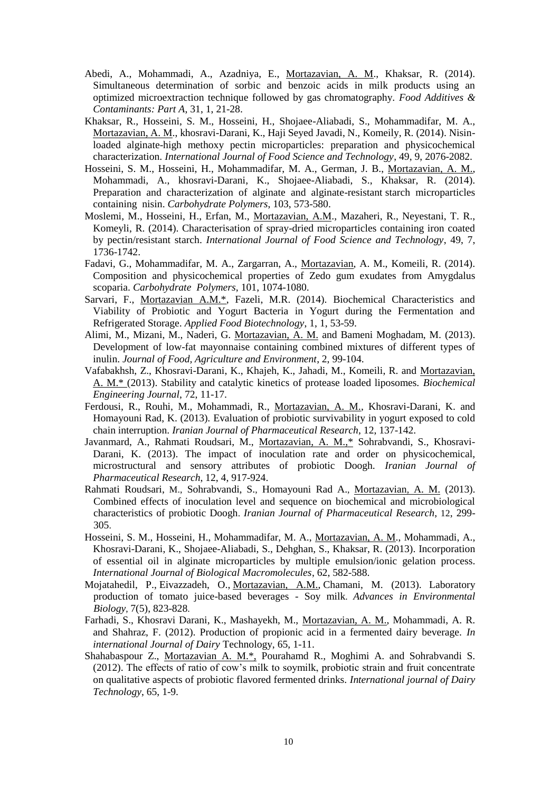- Abedi, A., Mohammadi, A., Azadniya, E., Mortazavian, A. M., Khaksar, R. (2014). Simultaneous determination of sorbic and benzoic acids in milk products using an optimized microextraction technique followed by gas chromatography. *Food Additives & Contaminants: Part A*, 31, 1, 21-28.
- Khaksar, R., Hosseini, S. M., Hosseini, H., Shojaee-Aliabadi, S., Mohammadifar, M. A., Mortazavian, A. M., khosravi-Darani, K., Haji Seyed Javadi, N., Komeily, R. (2014). Nisinloaded alginate-high methoxy pectin microparticles: preparation and physicochemical characterization. *International Journal of Food Science and Technology*, 49, 9, 2076-2082.
- Hosseini, S. M., Hosseini, H., Mohammadifar, M. A., German, J. B., Mortazavian, A. M., Mohammadi, A., khosravi-Darani, K., Shojaee-Aliabadi, S., Khaksar, R. (2014). Preparation and characterization of alginate and alginate-resistant starch microparticles containing nisin. *Carbohydrate Polymers*, 103, 573-580.
- Moslemi, M., Hosseini, H., Erfan, M., Mortazavian, A.M., Mazaheri, R., Neyestani, T. R., Komeyli, R. (2014). Characterisation of spray-dried microparticles containing iron coated by pectin/resistant starch. *International Journal of Food Science and Technology*, 49, 7, 1736-1742.
- Fadavi, G., Mohammadifar, M. A., Zargarran, A., Mortazavian, A. M., Komeili, R. (2014). Composition and physicochemical properties of Zedo gum exudates from Amygdalus scoparia. *Carbohydrate Polymers*, 101, 1074-1080.
- Sarvari, F., Mortazavian A.M.\*, Fazeli, M.R. (2014). Biochemical Characteristics and Viability of Probiotic and Yogurt Bacteria in Yogurt during the Fermentation and Refrigerated Storage. *Applied Food Biotechnology*, 1, 1, 53-59.
- Alimi, M., Mizani, M., Naderi, G. Mortazavian, A. M. and Bameni Moghadam, M. (2013). Development of low-fat mayonnaise containing combined mixtures of different types of inulin. *Journal of Food, Agriculture and Environment*, 2, 99-104.
- Vafabakhsh, Z., Khosravi-Darani, K., Khajeh, K., Jahadi, M., Komeili, R. and Mortazavian, A. M.\* (2013). Stability and catalytic kinetics of protease loaded liposomes. *Biochemical Engineering Journal*, 72, 11-17.
- Ferdousi, R., Rouhi, M., Mohammadi, R., Mortazavian, A. M., Khosravi-Darani, K. and Homayouni Rad, K. (2013). Evaluation of probiotic survivability in yogurt exposed to cold chain interruption. *Iranian Journal of Pharmaceutical Research*, 12, 137-142.
- Javanmard, A., Rahmati Roudsari, M., Mortazavian, A. M.,\* Sohrabvandi, S., Khosravi-Darani, K. (2013). The impact of inoculation rate and order on physicochemical, microstructural and sensory attributes of probiotic Doogh. *Iranian Journal of Pharmaceutical Research*, 12, 4, 917-924.
- Rahmati Roudsari, M., Sohrabvandi, S., Homayouni Rad A., Mortazavian, A. M. (2013). Combined effects of inoculation level and sequence on biochemical and microbiological characteristics of probiotic Doogh. *Iranian Journal of Pharmaceutical Research*, 12, 299- 305.
- Hosseini, S. M., Hosseini, H., Mohammadifar, M. A., Mortazavian, A. M., Mohammadi, A., Khosravi-Darani, K., Shojaee-Aliabadi, S., Dehghan, S., Khaksar, R. (2013). Incorporation of essential oil in alginate microparticles by multiple emulsion/ionic gelation process. *International Journal of Biological Macromolecules*, 62, 582-588.
- [Mojatahedil, P.,](https://www.scopus.com/authid/detail.uri?origin=resultslist&authorId=55790910100&zone=) [Eivazzadeh, O.,](https://www.scopus.com/authid/detail.uri?origin=resultslist&authorId=55791459400&zone=) [Mortazavian, A.M.,](https://www.scopus.com/authid/detail.uri?origin=resultslist&authorId=12792054500&zone=) [Chamani, M.](https://www.scopus.com/authid/detail.uri?origin=resultslist&authorId=52165159400&zone=) (2013). [Laboratory](https://www.scopus.com/record/display.uri?eid=2-s2.0-84880055640&origin=resultslist&sort=plf-f&src=s&st1=mortazavian&st2=amir+m.&nlo=1&nlr=20&nls=count-f&sid=964ee9893eaf9d218dc9c54113b3a1b8&sot=anl&sdt=aut&sl=47&s=AU-ID%28%22Mortazavian%2c+Amir+Mohammad%22+12792054500%29&relpos=69&citeCnt=1&searchTerm=)  production [of tomato juice-based beverages -](https://www.scopus.com/record/display.uri?eid=2-s2.0-84880055640&origin=resultslist&sort=plf-f&src=s&st1=mortazavian&st2=amir+m.&nlo=1&nlr=20&nls=count-f&sid=964ee9893eaf9d218dc9c54113b3a1b8&sot=anl&sdt=aut&sl=47&s=AU-ID%28%22Mortazavian%2c+Amir+Mohammad%22+12792054500%29&relpos=69&citeCnt=1&searchTerm=) Soy milk. *[Advances in Environmental](https://www.scopus.com/sourceid/19700177004?origin=resultslist)  [Biology](https://www.scopus.com/sourceid/19700177004?origin=resultslist)*, 7(5), 823-828.
- Farhadi, S., Khosravi Darani, K., Mashayekh, M., Mortazavian, A. M., Mohammadi, A. R. and Shahraz, F. (2012). Production of propionic acid in a fermented dairy beverage. *In international Journal of Dairy* Technology, 65, 1-11.
- Shahabaspour Z., Mortazavian A. M.\*, Pourahamd R., Moghimi A. and Sohrabvandi S. (2012). The effects of ratio of cow's milk to soymilk, probiotic strain and fruit concentrate on qualitative aspects of probiotic flavored fermented drinks. *International journal of Dairy Technology*, 65, 1-9.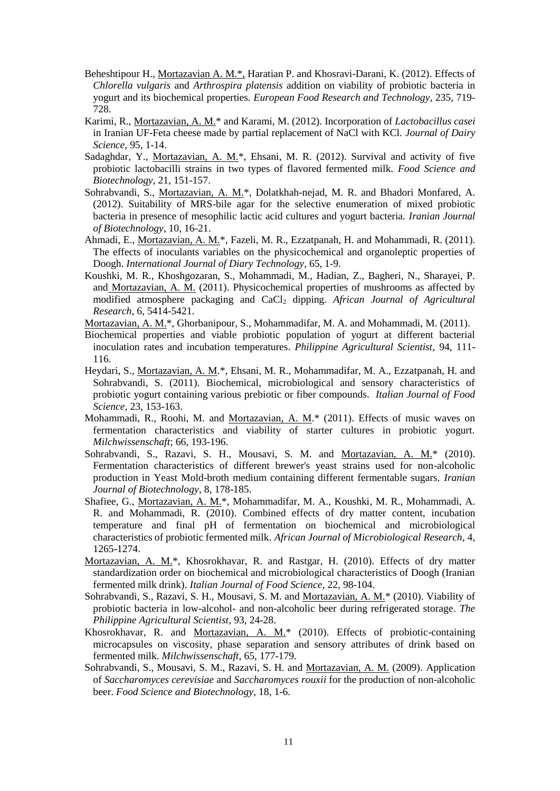- Beheshtipour H., Mortazavian A. M.\*, Haratian P. and Khosravi-Darani, K. (2012). Effects of *Chlorella vulgaris* and *Arthrospira platensis* addition on viability of probiotic bacteria in yogurt and its biochemical properties. *European Food Research and Technology*, 235, 719- 728.
- Karimi, R., Mortazavian, A. M.\* and Karami, M. (2012). Incorporation of *Lactobacillus casei* in Iranian UF-Feta cheese made by partial replacement of NaCl with KCl. *Journal of Dairy Science*, 95, 1-14.
- Sadaghdar, Y., Mortazavian, A. M.\*, Ehsani, M. R. (2012). Survival and activity of five probiotic lactobacilli strains in two types of flavored fermented milk. *Food Science and Biotechnology*, 21, 151-157.
- Sohrabvandi, S., Mortazavian, A. M.\*, Dolatkhah-nejad, M. R. and Bhadori Monfared, A. (2012). Suitability of MRS-bile agar for the selective enumeration of mixed probiotic bacteria in presence of mesophilic lactic acid cultures and yogurt bacteria. *Iranian Journal of Biotechnology*, 10, 16-21.
- Ahmadi, E., Mortazavian, A. M.\*, Fazeli, M. R., Ezzatpanah, H. and Mohammadi, R. (2011). The effects of inoculants variables on the physicochemical and organoleptic properties of Doogh. *International Journal of Diary Technology*, 65, 1-9.
- Koushki, M. R., Khoshgozaran, S., Mohammadi, M., Hadian, Z., Bagheri, N., Sharayei, P. and Mortazavian, A. M. (2011). Physicochemical properties of mushrooms as affected by modified atmosphere packaging and CaCl<sup>2</sup> dipping. *African Journal of Agricultural Research*, 6, 5414-5421.
- Mortazavian, A. M.\*, Ghorbanipour, S., Mohammadifar, M. A. and Mohammadi, M. (2011).
- Biochemical properties and viable probiotic population of yogurt at different bacterial inoculation rates and incubation temperatures. *Philippine Agricultural Scientist*, 94, 111- 116.
- Heydari, S., Mortazavian, A. M.\*, Ehsani, M. R., Mohammadifar, M. A., Ezzatpanah, H. and Sohrabvandi, S. (2011). Biochemical, microbiological and sensory characteristics of probiotic yogurt containing various prebiotic or fiber compounds. *Italian Journal of Food Science,* 23, 153-163.
- Mohammadi, R., Roohi, M. and Mortazavian, A. M.\* (2011). Effects of music waves on fermentation characteristics and viability of starter cultures in probiotic yogurt. *Milchwissenschaft*; 66, 193-196.
- Sohrabvandi, S., Razavi, S. H., Mousavi, S. M. and <u>Mortazavian, A. M.</u>\* (2010). Fermentation characteristics of different brewer's yeast strains used for non-alcoholic production in Yeast Mold-broth medium containing different fermentable sugars. *Iranian Journal of Biotechnology*, 8, 178-185.
- Shafiee, G., Mortazavian, A. M.\*, Mohammadifar, M. A., Koushki, M. R., Mohammadi, A. R. and Mohammadi, R. (2010). Combined effects of dry matter content, incubation temperature and final pH of fermentation on biochemical and microbiological characteristics of probiotic fermented milk. *African Journal of Microbiological Research*, 4, 1265-1274.
- Mortazavian, A. M.\*, Khosrokhavar, R. and Rastgar, H. (2010). Effects of dry matter standardization order on biochemical and microbiological characteristics of Doogh (Iranian fermented milk drink). *Italian Journal of Food Science*, 22, 98-104.
- Sohrabvandi, S., Razavi, S. H., Mousavi, S. M. and Mortazavian, A. M.\* (2010). Viability of probiotic bacteria in low-alcohol- and non-alcoholic beer during refrigerated storage. *The Philippine Agricultural Scientist*, 93, 24-28.
- Khosrokhavar, R. and Mortazavian, A. M.\* (2010). Effects of probiotic-containing microcapsules on viscosity, phase separation and sensory attributes of drink based on fermented milk. *Milchwissenschaft*, 65, 177-179.
- Sohrabvandi, S., Mousavi, S. M., Razavi, S. H. and Mortazavian, A. M. (2009). Application of *Saccharomyces cerevisiae* and *Saccharomyces rouxii* for the production of non-alcoholic beer. *Food Science and Biotechnology*, 18, 1-6.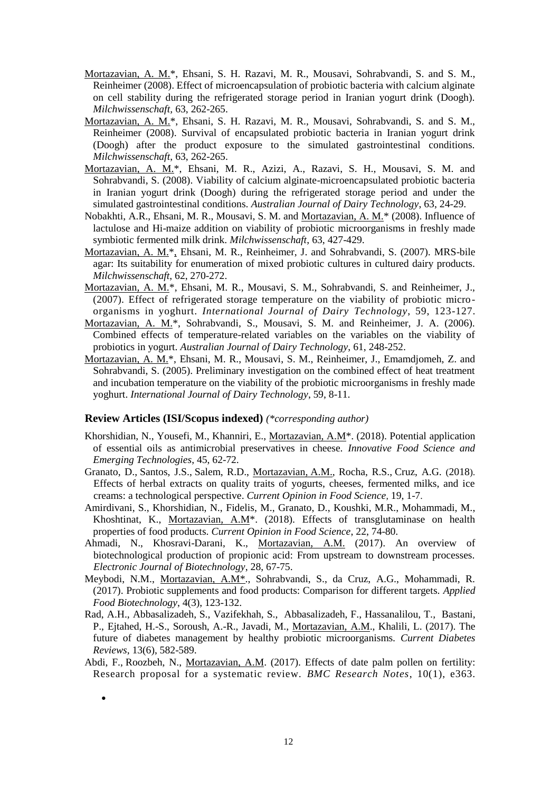- Mortazavian, A. M.\*, Ehsani, S. H. Razavi, M. R., Mousavi, Sohrabvandi, S. and S. M., Reinheimer (2008). Effect of microencapsulation of probiotic bacteria with calcium alginate on cell stability during the refrigerated storage period in Iranian yogurt drink (Doogh). *Milchwissenschaft,* 63, 262-265.
- Mortazavian, A. M.\*, Ehsani, S. H. Razavi, M. R., Mousavi, Sohrabvandi, S. and S. M., Reinheimer (2008). Survival of encapsulated probiotic bacteria in Iranian yogurt drink (Doogh) after the product exposure to the simulated gastrointestinal conditions. *Milchwissenschaft*, 63, 262-265.
- Mortazavian, A. M.\*, Ehsani, M. R., Azizi, A., Razavi, S. H., Mousavi, S. M. and Sohrabvandi, S. (2008). Viability of calcium alginate-microencapsulated probiotic bacteria in Iranian yogurt drink (Doogh) during the refrigerated storage period and under the simulated gastrointestinal conditions. *Australian Journal of Dairy Technology*, 63, 24-29.
- Nobakhti, A.R., Ehsani, M. R., Mousavi, S. M. and Mortazavian, A. M.\* (2008). Influence of lactulose and Hi-maize addition on viability of probiotic microorganisms in freshly made symbiotic fermented milk drink. *Milchwissenschaft*, 63, 427-429.
- Mortazavian, A. M.\*, Ehsani, M. R., Reinheimer, J. and Sohrabvandi, S. (2007). MRS-bile agar: Its suitability for enumeration of mixed probiotic cultures in cultured dairy products. *Milchwissenschaft*, 62, 270-272.
- Mortazavian, A. M.\*, Ehsani, M. R., Mousavi, S. M., Sohrabvandi, S. and Reinheimer, J., (2007). Effect of refrigerated storage temperature on the viability of probiotic microorganisms in yoghurt. *International Journal of Dairy Technology*, 59, 123-127.
- Mortazavian, A. M.\*, Sohrabvandi, S., Mousavi, S. M. and Reinheimer, J. A. (2006). Combined effects of temperature-related variables on the variables on the viability of probiotics in yogurt. *Australian Journal of Dairy Technology*, 61, 248-252.
- Mortazavian, A. M.\*, Ehsani, M. R., Mousavi, S. M., Reinheimer, J., Emamdjomeh, Z. and Sohrabvandi, S. (2005). Preliminary investigation on the combined effect of heat treatment and incubation temperature on the viability of the probiotic microorganisms in freshly made yoghurt. *International Journal of Dairy Technology*, 59, 8-11.

## **Review Articles (ISI/Scopus indexed)** *(\*corresponding author)*

- [Khorshidian, N.,](https://www.scopus.com/authid/detail.uri?authorId=57192107570&eid=2-s2.0-85031770604) [Yousefi, M.,](https://www.scopus.com/authid/detail.uri?authorId=57194763406&eid=2-s2.0-85031770604) [Khanniri, E.,](https://www.scopus.com/authid/detail.uri?authorId=57188727841&eid=2-s2.0-85031770604) [Mortazavian, A.M\\*.](https://www.scopus.com/authid/detail.uri?authorId=12792054500&eid=2-s2.0-85031770604) (2018). Potential application of essential oils as antimicrobial preservatives in cheese. *[Innovative Food Science and](https://www.scopus.com/sourceid/20058?origin=recordpage)  [Emerging Technologies](https://www.scopus.com/sourceid/20058?origin=recordpage)*, 45, 62-72.
- [Granato, D.,](https://www.scopus.com/authid/detail.uri?origin=resultslist&authorId=8726448500&zone=) [Santos, J.S.,](https://www.scopus.com/authid/detail.uri?origin=resultslist&authorId=7402389373&zone=) [Salem, R.D.,](https://www.scopus.com/authid/detail.uri?origin=resultslist&authorId=56180265700&zone=) Mortazavian, A.M., [Rocha, R.S.,](https://www.scopus.com/authid/detail.uri?origin=resultslist&authorId=57198883512&zone=) [Cruz, A.G.](https://www.scopus.com/authid/detail.uri?origin=resultslist&authorId=24366248400&zone=) (2018). [Effects of herbal extracts on quality traits of yogurts, cheeses, fermented milks, and ice](https://www.scopus.com/record/display.uri?eid=2-s2.0-85037330680&origin=resultslist&sort=plf-f&src=s&st1=mortazavian&st2=amir+m.&nlo=1&nlr=20&nls=count-f&sid=c32bf098c601a9371077ba42fe1ee7f8&sot=anl&sdt=aut&sl=47&s=AU-ID%28%22Mortazavian%2c+Amir+Mohammad%22+12792054500%29&relpos=6&citeCnt=0&searchTerm=)  [creams: a technological perspective.](https://www.scopus.com/record/display.uri?eid=2-s2.0-85037330680&origin=resultslist&sort=plf-f&src=s&st1=mortazavian&st2=amir+m.&nlo=1&nlr=20&nls=count-f&sid=c32bf098c601a9371077ba42fe1ee7f8&sot=anl&sdt=aut&sl=47&s=AU-ID%28%22Mortazavian%2c+Amir+Mohammad%22+12792054500%29&relpos=6&citeCnt=0&searchTerm=) *[Current Opinion in Food Science](https://www.scopus.com/sourceid/21100370190?origin=resultslist)*, 19, 1-7.
- [Amirdivani, S.,](https://www.scopus.com/authid/detail.uri?authorId=36945104200&eid=2-s2.0-85042357892) [Khorshidian, N.,](https://www.scopus.com/authid/detail.uri?authorId=57192107570&eid=2-s2.0-85042357892) [Fidelis, M.,](https://www.scopus.com/authid/detail.uri?authorId=57192248402&eid=2-s2.0-85042357892) [Granato, D.,](https://www.scopus.com/authid/detail.uri?authorId=8726448500&eid=2-s2.0-85042357892) [Koushki, M.R.,](https://www.scopus.com/authid/detail.uri?authorId=57195545326&eid=2-s2.0-85042357892) [Mohammadi, M.,](https://www.scopus.com/authid/detail.uri?authorId=36911444900&eid=2-s2.0-85042357892) [Khoshtinat, K.,](https://www.scopus.com/authid/detail.uri?authorId=57192809673&eid=2-s2.0-85042357892) [Mortazavian, A.M\\*.](https://www.scopus.com/authid/detail.uri?authorId=12792054500&eid=2-s2.0-85042357892) (2018). Effects of transglutaminase on health properties of food products. *[Current Opinion in Food Science](https://www.scopus.com/sourceid/21100370190?origin=recordpage)*, 22, 74-80.
- Ahmadi, N., Khosravi-Darani, K., Mortazavian, A.M. (2017). An overview of biotechnological production of propionic acid: From upstream to downstream processes. *Electronic Journal of Biotechnology*, 28, 67-75.
- [Meybodi, N.M.,](https://www.scopus.com/authid/detail.uri?authorId=57044668500&eid=2-s2.0-85040722162) [Mortazavian, A.M\\*.,](https://www.scopus.com/authid/detail.uri?authorId=12792054500&eid=2-s2.0-85040722162) [Sohrabvandi, S.,](https://www.scopus.com/authid/detail.uri?authorId=12793070400&eid=2-s2.0-85040722162) [da Cruz, A.G.,](https://www.scopus.com/authid/detail.uri?authorId=55666377100&eid=2-s2.0-85040722162) [Mohammadi, R.](https://www.scopus.com/authid/detail.uri?authorId=36716645500&eid=2-s2.0-85040722162) (2017). Probiotic supplements and food products: Comparison for different targets. *Applied Food Biotechnology*, 4(3), 123-132.
- [Rad, A.H.,](https://www.scopus.com/authid/detail.uri?authorId=57199863221&eid=2-s2.0-85038437920) [Abbasalizadeh, S.,](https://www.scopus.com/authid/detail.uri?authorId=16645031700&eid=2-s2.0-85038437920) [Vazifekhah, S.,](https://www.scopus.com/authid/detail.uri?authorId=55673988100&eid=2-s2.0-85038437920) [Abbasalizadeh, F.,](https://www.scopus.com/authid/detail.uri?authorId=16030386100&eid=2-s2.0-85038437920) [Hassanalilou, T.,](https://www.scopus.com/authid/detail.uri?authorId=57195677889&eid=2-s2.0-85038437920) [Bastani,](https://www.scopus.com/authid/detail.uri?authorId=12807505700&eid=2-s2.0-85038437920)  [P.,](https://www.scopus.com/authid/detail.uri?authorId=12807505700&eid=2-s2.0-85038437920) [Ejtahed, H.-S.,](https://www.scopus.com/authid/detail.uri?authorId=55886048100&eid=2-s2.0-85038437920) [Soroush, A.-R.,](https://www.scopus.com/authid/detail.uri?authorId=55427684900&eid=2-s2.0-85038437920) [Javadi, M.,](https://www.scopus.com/authid/detail.uri?authorId=56962596300&eid=2-s2.0-85038437920) [Mortazavian, A.M.,](https://www.scopus.com/authid/detail.uri?authorId=12792054500&eid=2-s2.0-85038437920) [Khalili, L.](https://www.scopus.com/authid/detail.uri?authorId=56943343700&eid=2-s2.0-85038437920) (2017). The future of diabetes management by healthy probiotic microorganisms. *Current [Diabetes](https://www.scopus.com/sourceid/4700152610?origin=recordpage)  [Reviews](https://www.scopus.com/sourceid/4700152610?origin=recordpage)*, 13(6), 582-589.
- [Abdi, F.,](https://www.scopus.com/authid/detail.uri?authorId=37664445700&eid=2-s2.0-85026531430) [Roozbeh, N.,](https://www.scopus.com/authid/detail.uri?authorId=57189353412&eid=2-s2.0-85026531430) [Mortazavian, A.M.](https://www.scopus.com/authid/detail.uri?authorId=12792054500&eid=2-s2.0-85026531430) (2017). Effects of date palm pollen on fertility: Research proposal for a systematic review. *[BMC Research Notes](https://www.scopus.com/sourceid/19600166028?origin=recordpage)*, 10(1), e363.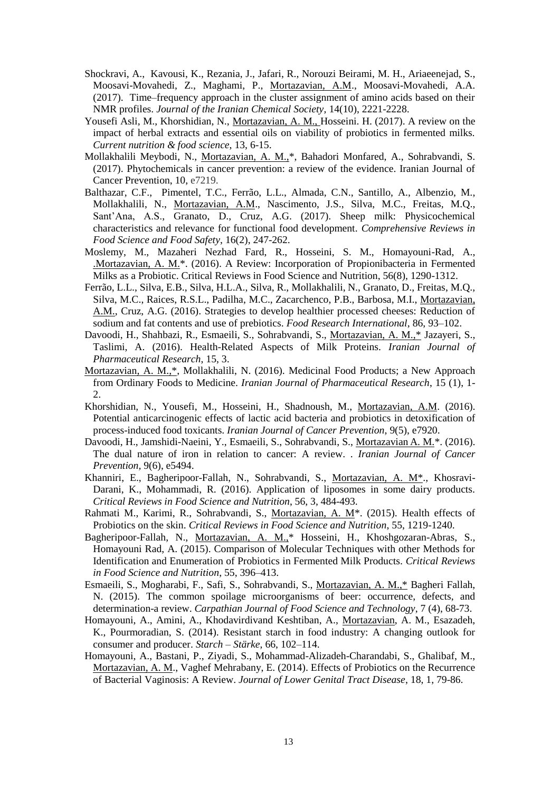- [Shockravi, A.,](https://www.scopus.com/authid/detail.uri?authorId=6603397895&eid=2-s2.0-85028959161) [Kavousi, K.,](https://www.scopus.com/authid/detail.uri?authorId=24722480500&eid=2-s2.0-85028959161) [Rezania, J.,](https://www.scopus.com/authid/detail.uri?authorId=57193433430&eid=2-s2.0-85028959161) [Jafari, R.,](https://www.scopus.com/authid/detail.uri?authorId=12791016800&eid=2-s2.0-85028959161) [Norouzi Beirami, M.](https://www.scopus.com/authid/detail.uri?authorId=57195587533&eid=2-s2.0-85028959161) H., [Ariaeenejad, S.,](https://www.scopus.com/authid/detail.uri?authorId=45860900500&eid=2-s2.0-85028959161) [Moosavi-Movahedi, Z.,](https://www.scopus.com/authid/detail.uri?authorId=55404230900&eid=2-s2.0-85028959161) [Maghami, P.,](https://www.scopus.com/authid/detail.uri?authorId=55858720300&eid=2-s2.0-85028959161) [Mortazavian, A.M.,](https://www.scopus.com/authid/detail.uri?authorId=12792054500&eid=2-s2.0-85028959161) [Moosavi-Movahedi, A.A.](https://www.scopus.com/authid/detail.uri?authorId=23098455900&eid=2-s2.0-85028959161) (2017). Time–frequency approach in the cluster assignment of amino acids based on their NMR profiles. *[Journal of the Iranian Chemical Society](https://www.scopus.com/sourceid/5300152234?origin=recordpage)*, 14(10), 2221-2228.
- Yousefi Asli, M., Khorshidian, N., Mortazavian, A. M., Hosseini. H. (2017). A review on the impact of herbal extracts and essential oils on viability of probiotics in fermented milks. *Current nutrition & food science*, 13, 6-15.
- Mollakhalili Meybodi, N., Mortazavian, A. M.,\*, Bahadori Monfared, A., Sohrabvandi, S. (2017). Phytochemicals in cancer prevention: a review of the evidence. Iranian Journal of Cancer Prevention, 10, e7219.
- [Balthazar, C.F.,](https://www.scopus.com/authid/detail.uri?authorId=56041720100&eid=2-s2.0-85009792063) [Pimentel, T.C.,](https://www.scopus.com/authid/detail.uri?authorId=53878430400&eid=2-s2.0-85009792063) [Ferrão, L.L.,](https://www.scopus.com/authid/detail.uri?authorId=56525129600&eid=2-s2.0-85009792063) [Almada, C.N.,](https://www.scopus.com/authid/detail.uri?authorId=56728521100&eid=2-s2.0-85009792063) [Santillo, A.,](https://www.scopus.com/authid/detail.uri?authorId=12807990500&eid=2-s2.0-85009792063) [Albenzio, M.,](https://www.scopus.com/authid/detail.uri?authorId=6603769561&eid=2-s2.0-85009792063) [Mollakhalili, N.,](https://www.scopus.com/authid/detail.uri?authorId=57189519176&eid=2-s2.0-85009792063) [Mortazavian, A.M.,](https://www.scopus.com/authid/detail.uri?authorId=12792054500&eid=2-s2.0-85009792063) [Nascimento, J.S.,](https://www.scopus.com/authid/detail.uri?authorId=56527899000&eid=2-s2.0-85009792063) [Silva, M.C.,](https://www.scopus.com/authid/detail.uri?authorId=54880635500&eid=2-s2.0-85009792063) [Freitas, M.Q.,](https://www.scopus.com/authid/detail.uri?authorId=14057823200&eid=2-s2.0-85009792063) [Sant'Ana, A.S.,](https://www.scopus.com/authid/detail.uri?authorId=7007031460&eid=2-s2.0-85009792063) [Granato, D.,](https://www.scopus.com/authid/detail.uri?authorId=8726448500&eid=2-s2.0-85009792063) [Cruz, A.G.](https://www.scopus.com/authid/detail.uri?authorId=24366248400&eid=2-s2.0-85009792063) (2017). Sheep milk: Physicochemical characteristics and relevance for functional food development. *[Comprehensive Reviews in](https://www.scopus.com/sourceid/4900152301?origin=recordpage)  [Food Science and Food Safety](https://www.scopus.com/sourceid/4900152301?origin=recordpage)*, 16(2), 247-262.
- Moslemy, M., Mazaheri Nezhad Fard, R., Hosseini, S. M., Homayouni-Rad, A., .Mortazavian, A. M.\*. (2016). A Review: Incorporation of Propionibacteria in Fermented Milks as a Probiotic. Critical Reviews in Food Science and Nutrition, 56(8), 1290-1312.
- Ferrão, L.L., Silva, E.B., Silva, H.L.A., Silva, R., Mollakhalili, N., Granato, D., Freitas, M.Q., Silva, M.C., Raices, R.S.L., Padilha, M.C., Zacarchenco, P.B., Barbosa, M.I., Mortazavian, A.M., Cruz, A.G. (2016). Strategies to develop healthier processed cheeses: Reduction of sodium and fat contents and use of prebiotics. *Food Research International*, 86, 93–102.
- Davoodi, H., Shahbazi, R., Esmaeili, S., Sohrabvandi, S., Mortazavian, A. M.,\* Jazayeri, S., Taslimi, A. (2016). Health-Related Aspects of Milk Proteins. *Iranian Journal of Pharmaceutical Research*, 15, 3.
- Mortazavian, A. M.,\*, Mollakhalili, N. (2016). Medicinal Food Products; a New Approach from Ordinary Foods to Medicine. *Iranian Journal of Pharmaceutical Research*, 15 (1), 1-  $\mathcal{D}_{\mathcal{L}}$
- Khorshidian, N., Yousefi, M., Hosseini, H., Shadnoush, M., Mortazavian, A.M. (2016). Potential anticarcinogenic effects of lactic acid bacteria and probiotics in detoxification of process-induced food toxicants. *Iranian Journal of Cancer Prevention*, 9(5), e7920.
- Davoodi, H., Jamshidi-Naeini, Y., Esmaeili, S., Sohrabvandi, S., Mortazavian A. M.\*. (2016). The dual nature of iron in relation to cancer: A review. . *Iranian Journal of Cancer Prevention,* 9(6), e5494.
- Khanniri, E., Bagheripoor-Fallah, N., Sohrabvandi, S., Mortazavian, A. M\*., Khosravi-Darani, K., Mohammadi, R. (2016). Application of liposomes in some dairy products. *Critical Reviews in Food Science and Nutrition*, 56, 3, 484-493.
- Rahmati M., Karimi, R., Sohrabvandi, S., Mortazavian, A. M\*. (2015). Health effects of Probiotics on the skin. *Critical Reviews in Food Science and Nutrition*, 55, 1219-1240.
- Bagheripoor-Fallah, N., Mortazavian, A. M.,\* Hosseini, H., Khoshgozaran-Abras, S., Homayouni Rad, A. (2015). Comparison of Molecular Techniques with other Methods for Identification and Enumeration of Probiotics in Fermented Milk Products. *Critical Reviews in Food Science and Nutrition*, 55, 396–413.
- Esmaeili, S., Mogharabi, F., Safi, S., Sohrabvandi, S., Mortazavian, A. M.,\* Bagheri Fallah, N. (2015). [The common spoilage microorganisms of beer: occurrence, defects, and](http://research.sbmu.ac.ir/webdocument/load.action?webdocument_code=2000&masterCode=66005728)  [determination-a review.](http://research.sbmu.ac.ir/webdocument/load.action?webdocument_code=2000&masterCode=66005728) *Carpathian Journal of Food Science and Technology*, 7 (4), 68-73.
- Homayouni, A., Amini, A., Khodavirdivand Keshtiban, A., Mortazavian, A. M., Esazadeh, K., Pourmoradian, S. (2014). Resistant starch in food industry: A changing outlook for consumer and producer. *Starch – Stärke*, 66, 102–114.
- Homayouni, A., Bastani, P., Ziyadi, S., Mohammad-Alizadeh-Charandabi, S., Ghalibaf, M., Mortazavian, A. M., Vaghef Mehrabany, E. (2014). Effects of Probiotics on the Recurrence of Bacterial Vaginosis: A Review. *Journal of Lower Genital Tract Disease*, 18, 1, 79-86.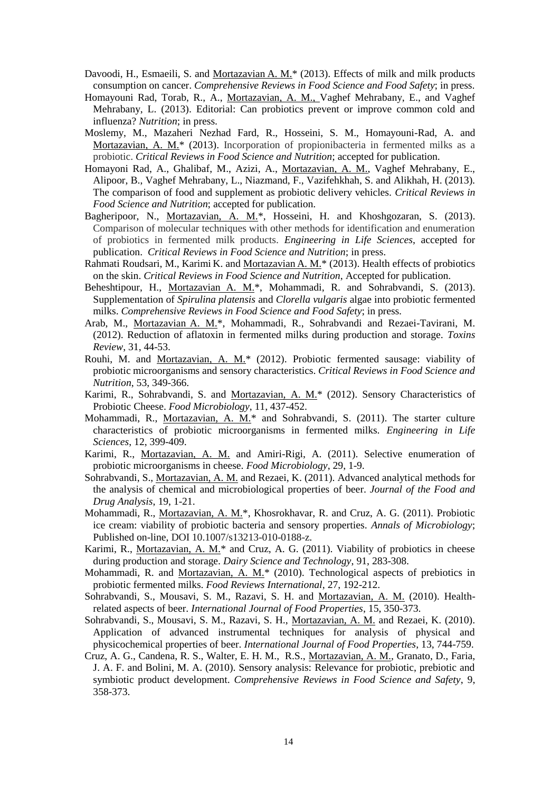- Davoodi, H., Esmaeili, S. and Mortazavian A. M.\* (2013). Effects of milk and milk products consumption on cancer. *Comprehensive Reviews in Food Science and Food Safety*; in press.
- Homayouni Rad, Torab, R., A., Mortazavian, A. M., Vaghef Mehrabany, E., and Vaghef Mehrabany, L. (2013). Editorial: Can probiotics prevent or improve common cold and influenza? *Nutrition*; in press.
- Moslemy, M., Mazaheri Nezhad Fard, R., Hosseini, S. M., Homayouni-Rad, A. and Mortazavian, A. M.\* (2013). Incorporation of propionibacteria in fermented milks as a probiotic. *Critical Reviews in Food Science and Nutrition*; accepted for publication.
- Homayoni Rad, A., Ghalibaf, M., Azizi, A., Mortazavian, A. M., Vaghef Mehrabany, E., Alipoor, B., Vaghef Mehrabany, L., Niazmand, F., Vazifehkhah, S. and Alikhah, H. (2013). The comparison of food and supplement as probiotic delivery vehicles. *Critical Reviews in Food Science and Nutrition*; accepted for publication.
- Bagheripoor, N., Mortazavian, A. M.\*, Hosseini, H. and Khoshgozaran, S. (2013). Comparison of molecular techniques with other methods for identification and enumeration of probiotics in fermented milk products. *Engineering in Life Sciences*, accepted for publication. *Critical Reviews in Food Science and Nutrition*; in press.
- Rahmati Roudsari, M., Karimi K. and Mortazavian A. M.\* (2013). Health effects of probiotics on the skin. *Critical Reviews in Food Science and Nutrition*, Accepted for publication.
- Beheshtipour, H., Mortazavian A. M.\*, Mohammadi, R. and Sohrabvandi, S. (2013). Supplementation of *Spirulina platensis* and *Clorella vulgaris* algae into probiotic fermented milks. *Comprehensive Reviews in Food Science and Food Safety*; in press.
- Arab, M., Mortazavian A. M.\*, Mohammadi, R., Sohrabvandi and Rezaei-Tavirani, M. (2012). Reduction of aflatoxin in fermented milks during production and storage. *Toxins Review*, 31, 44-53.
- Rouhi, M. and Mortazavian, A. M.\* (2012). Probiotic fermented sausage: viability of probiotic microorganisms and sensory characteristics. *Critical Reviews in Food Science and Nutrition*, 53, 349-366.
- Karimi, R., Sohrabvandi, S. and Mortazavian, A. M.\* (2012). Sensory Characteristics of Probiotic Cheese. *Food Microbiology*, 11, 437-452.
- Mohammadi, R., Mortazavian, A. M.\* and Sohrabvandi, S. (2011). The starter culture characteristics of probiotic microorganisms in fermented milks. *Engineering in Life Sciences*, 12, 399-409.
- Karimi, R., Mortazavian, A. M. and Amiri-Rigi, A. (2011). Selective enumeration of probiotic microorganisms in cheese. *Food Microbiology*, 29, 1-9.
- Sohrabvandi, S., Mortazavian, A. M. and Rezaei, K. (2011). Advanced analytical methods for the analysis of chemical and microbiological properties of beer. *Journal of the Food and Drug Analysis*, 19, 1-21.
- Mohammadi, R., Mortazavian, A. M.\*, Khosrokhavar, R. and Cruz, A. G. (2011). Probiotic ice cream: viability of probiotic bacteria and sensory properties. *Annals of Microbiology*; Published on-line, DOI 10.1007/s13213-010-0188-z.
- Karimi, R., Mortazavian, A. M.<sup>\*</sup> and Cruz, A. G. (2011). Viability of probiotics in cheese during production and storage. *Dairy Science and Technology*, 91, 283-308.
- Mohammadi, R. and Mortazavian, A. M.\* (2010). Technological aspects of prebiotics in probiotic fermented milks. *Food Reviews International*, 27, 192-212.
- Sohrabvandi, S., Mousavi, S. M., Razavi, S. H. and Mortazavian, A. M. (2010). Healthrelated aspects of beer. *International Journal of Food Properties*, 15, 350-373.
- Sohrabvandi, S., Mousavi, S. M., Razavi, S. H., Mortazavian, A. M. and Rezaei, K. (2010). Application of advanced instrumental techniques for analysis of physical and physicochemical properties of beer. *International Journal of Food Properties*, 13, 744-759.
- Cruz, A. G., Candena, R. S., Walter, E. H. M., R.S., Mortazavian, A. M., Granato, D., Faria, J. A. F. and Bolini, M. A. (2010). Sensory analysis: Relevance for probiotic, prebiotic and symbiotic product development. *Comprehensive Reviews in Food Science and Safety*, 9, 358-373.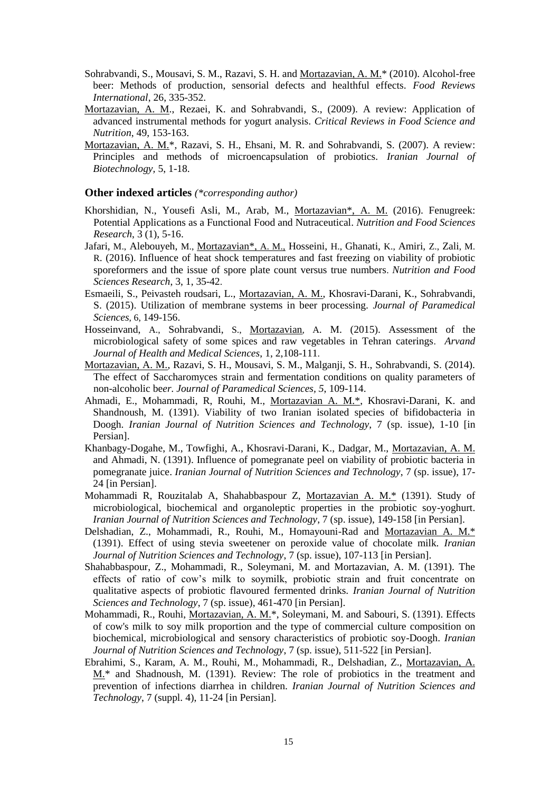- Sohrabvandi, S., Mousavi, S. M., Razavi, S. H. and Mortazavian, A. M.\* (2010). Alcohol-free beer: Methods of production, sensorial defects and healthful effects. *Food Reviews International*, 26, 335-352.
- Mortazavian, A. M., Rezaei, K. and Sohrabvandi, S., (2009). A review: Application of advanced instrumental methods for yogurt analysis. *Critical Reviews in Food Science and Nutrition*, 49, 153-163.
- Mortazavian, A. M.\*, Razavi, S. H., Ehsani, M. R. and Sohrabvandi, S. (2007). A review: Principles and methods of microencapsulation of probiotics. *Iranian Journal of Biotechnology,* 5, 1-18.

#### **Other indexed articles** *(\*corresponding author)*

- Khorshidian, N., Yousefi Asli, M., Arab, M., Mortazavian\*, A. M. (2016). Fenugreek: Potential Applications as a Functional Food and Nutraceutical. *Nutrition and Food Sciences Research*, 3 (1), 5-16.
- Jafari, M., Alebouyeh, M., Mortazavian\*, A. M., Hosseini, H., Ghanati, K., Amiri, Z., Zali, M. R. (2016). Influence of heat shock temperatures and fast freezing on viability of probiotic sporeformers and the issue of spore plate count versus true numbers. *Nutrition and Food Sciences Research*, 3, 1, 35-42.
- Esmaeili, S., Peivasteh roudsari, L., Mortazavian, A. M., Khosravi-Darani, K., Sohrabvandi, S. (2015). Utilization of membrane systems in beer processing. *Journal of Paramedical Sciences*, 6, 149-156.
- Hosseinvand, A., Sohrabvandi, S., Mortazavian, A. M. (2015). Assessment of the microbiological safety of some spices and raw vegetables in Tehran caterings. *Arvand Journal of Health and Medical Sciences*, 1, 2,108-111.
- Mortazavian, A. M., Razavi, S. H., Mousavi, S. M., Malganji, S. H., Sohrabvandi, S. (2014). The effect of Saccharomyces strain and fermentation conditions on quality parameters of non-alcoholic be*er. Journal of Paramedical Sciences, 5*, 109-114.
- Ahmadi, E., Mohammadi, R, Rouhi, M., Mortazavian A. M.\*, Khosravi-Darani, K. and Shandnoush, M. (1391). Viability of two Iranian isolated species of bifidobacteria in Doogh. *Iranian Journal of Nutrition Sciences and Technology*, 7 (sp. issue), 1-10 [in Persian].
- Khanbagy-Dogahe, M., Towfighi, A., Khosravi-Darani, K., Dadgar, M., Mortazavian, A. M. and Ahmadi, N. (1391). Influence of pomegranate peel on viability of probiotic bacteria in pomegranate juice. *Iranian Journal of Nutrition Sciences and Technology*, 7 (sp. issue), 17- 24 [in Persian].
- Mohammadi R, Rouzitalab A, Shahabbaspour Z, Mortazavian A. M.\* (1391). Study of microbiological, biochemical and organoleptic properties in the probiotic soy-yoghurt. *Iranian Journal of Nutrition Sciences and Technology*, 7 (sp. issue), 149-158 [in Persian].
- Delshadian, Z., Mohammadi, R., Rouhi, M., Homayouni-Rad and Mortazavian A. M.\* (1391). Effect of using stevia sweetener on peroxide value of chocolate milk. *Iranian Journal of Nutrition Sciences and Technology*, 7 (sp. issue), 107-113 [in Persian].
- Shahabbaspour, Z., Mohammadi, R., Soleymani, M. and Mortazavian, A. M. (1391). The effects of ratio of cow's milk to soymilk, probiotic strain and fruit concentrate on qualitative aspects of probiotic flavoured fermented drinks. *Iranian Journal of Nutrition Sciences and Technology*, 7 (sp. issue), 461-470 [in Persian].
- Mohammadi, R., Rouhi, Mortazavian, A. M.\*, Soleymani, M. and Sabouri, S. (1391). Effects of cow's milk to soy milk proportion and the type of commercial culture composition on biochemical, microbiological and sensory characteristics of probiotic soy-Doogh. *Iranian Journal of Nutrition Sciences and Technology*, 7 (sp. issue), 511-522 [in Persian].
- Ebrahimi, S., Karam, A. M., Rouhi, M., Mohammadi, R., Delshadian, Z., Mortazavian, A. M.\* and Shadnoush, M. (1391). Review: The role of probiotics in the treatment and prevention of infections diarrhea in children. *Iranian Journal of Nutrition Sciences and Technology*, 7 (suppl. 4), 11-24 [in Persian].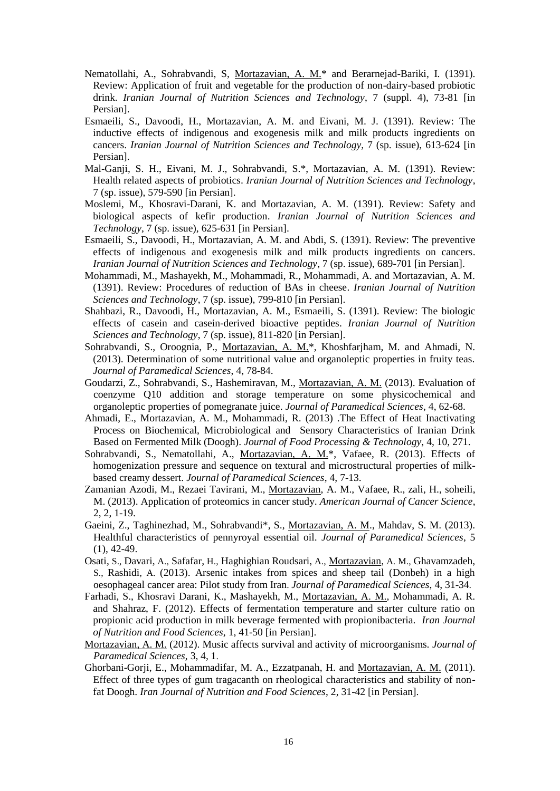- Nematollahi, A., Sohrabvandi, S, Mortazavian, A. M.\* and Berarnejad-Bariki, I. (1391). Review: Application of fruit and vegetable for the production of non-dairy-based probiotic drink. *Iranian Journal of Nutrition Sciences and Technology*, 7 (suppl. 4), 73-81 [in Persian].
- Esmaeili, S., Davoodi, H., Mortazavian, A. M. and Eivani, M. J. (1391). Review: The inductive effects of indigenous and exogenesis milk and milk products ingredients on cancers. *Iranian Journal of Nutrition Sciences and Technology*, 7 (sp. issue), 613-624 [in Persian].
- Mal-Ganji, S. H., Eivani, M. J., Sohrabvandi, S.\*, Mortazavian, A. M. (1391). Review: Health related aspects of probiotics. *Iranian Journal of Nutrition Sciences and Technology*, 7 (sp. issue), 579-590 [in Persian].
- Moslemi, M., Khosravi-Darani, K. and Mortazavian, A. M. (1391). Review: Safety and biological aspects of kefir production. *Iranian Journal of Nutrition Sciences and Technology*, 7 (sp. issue), 625-631 [in Persian].
- Esmaeili, S., Davoodi, H., Mortazavian, A. M. and Abdi, S. (1391). Review: The preventive effects of indigenous and exogenesis milk and milk products ingredients on cancers. *Iranian Journal of Nutrition Sciences and Technology*, 7 (sp. issue), 689-701 [in Persian].
- Mohammadi, M., Mashayekh, M., Mohammadi, R., Mohammadi, A. and Mortazavian, A. M. (1391). Review: Procedures of reduction of BAs in cheese. *Iranian Journal of Nutrition Sciences and Technology*, 7 (sp. issue), 799-810 [in Persian].
- Shahbazi, R., Davoodi, H., Mortazavian, A. M., Esmaeili, S. (1391). Review: The biologic effects of casein and casein-derived bioactive peptides. *Iranian Journal of Nutrition Sciences and Technology*, 7 (sp. issue), 811-820 [in Persian].
- Sohrabvandi, S., Oroognia, P., Mortazavian, A. M.\*, Khoshfarjham, M. and Ahmadi, N. (2013). Determination of some nutritional value and organoleptic properties in fruity teas. *Journal of Paramedical Sciences*, 4, 78-84.
- Goudarzi, Z., Sohrabvandi, S., Hashemiravan, M., Mortazavian, A. M. (2013). Evaluation of coenzyme Q10 addition and storage temperature on some physicochemical and organoleptic properties of pomegranate juice. *Journal of Paramedical Sciences*, 4, 62-68.
- Ahmadi, E., Mortazavian, A. M., Mohammadi, R. (2013) .The Effect of Heat Inactivating Process on Biochemical, Microbiological and Sensory Characteristics of Iranian Drink Based on Fermented Milk (Doogh). *Journal of Food Processing & Technology*, 4, 10, 271.
- Sohrabvandi, S., Nematollahi, A., Mortazavian, A. M.\*, Vafaee, R. (2013). Effects of homogenization pressure and sequence on textural and microstructural properties of milkbased creamy dessert. *Journal of Paramedical Sciences*, 4, 7-13.
- Zamanian Azodi, M., Rezaei Tavirani, M., Mortazavian, A. M., Vafaee, R., zali, H., soheili, M. (2013). Application of proteomics in cancer study. *American Journal of Cancer Science*, 2, 2, 1-19.
- Gaeini, Z., Taghinezhad, M., Sohrabvandi\*, S., Mortazavian, A. M., Mahdav, S. M. (2013). Healthful characteristics of pennyroyal essential oil. *Journal of Paramedical Sciences*, 5 (1), 42-49.
- Osati, S., Davari, A., Safafar, H., Haghighian Roudsari, A., Mortazavian, A. M., Ghavamzadeh, S., Rashidi, A. (2013). Arsenic intakes from spices and sheep tail (Donbeh) in a high oesophageal cancer area: Pilot study from Iran. *Journal of Paramedical Sciences*, 4, 31-34.
- Farhadi, S., Khosravi Darani, K., Mashayekh, M., Mortazavian, A. M., Mohammadi, A. R. and Shahraz, F. (2012). Effects of fermentation temperature and starter culture ratio on propionic acid production in milk beverage fermented with propionibacteria. *Iran Journal of Nutrition and Food Sciences*, 1, 41-50 [in Persian].
- Mortazavian, A. M. (2012). Music affects survival and activity of microorganisms. *Journal of Paramedical Sciences*, 3, 4, 1.
- Ghorbani-Gorji, E., Mohammadifar, M. A., Ezzatpanah, H. and Mortazavian, A. M. (2011). Effect of three types of gum tragacanth on rheological characteristics and stability of nonfat Doogh. *Iran Journal of Nutrition and Food Sciences*, 2, 31-42 [in Persian].